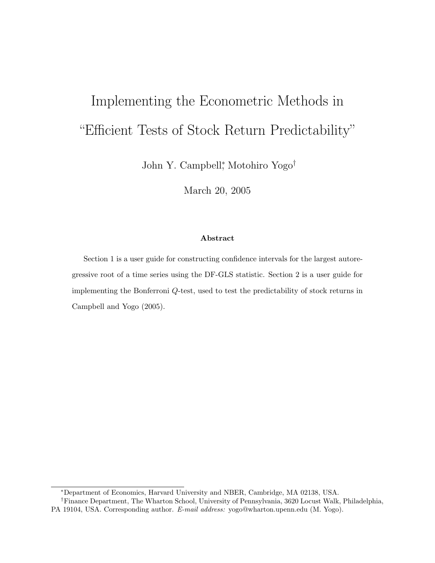# Implementing the Econometric Methods in "Efficient Tests of Stock Return Predictability"

John Y. Campbell<sup>∗</sup> , Motohiro Yogo†

March 20, 2005

#### **Abstract**

Section 1 is a user guide for constructing confidence intervals for the largest autoregressive root of a time series using the DF-GLS statistic. Section 2 is a user guide for implementing the Bonferroni *Q*-test, used to test the predictability of stock returns in Campbell and Yogo (2005).

<sup>∗</sup>Department of Economics, Harvard University and NBER, Cambridge, MA 02138, USA.

<sup>†</sup>Finance Department, The Wharton School, University of Pennsylvania, 3620 Locust Walk, Philadelphia, PA 19104, USA. Corresponding author. *E-mail address:* yogo@wharton.upenn.edu (M. Yogo).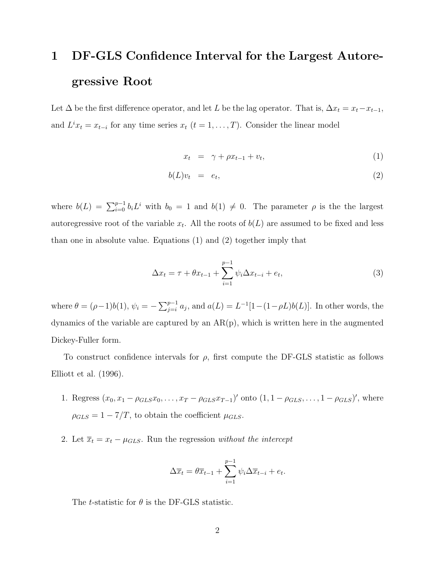## **1 DF-GLS Confidence Interval for the Largest Autoregressive Root**

Let  $\Delta$  be the first difference operator, and let L be the lag operator. That is,  $\Delta x_t = x_t - x_{t-1}$ , and  $L^i x_t = x_{t-i}$  for any time series  $x_t$  ( $t = 1, \ldots, T$ ). Consider the linear model

$$
x_t = \gamma + \rho x_{t-1} + v_t, \tag{1}
$$

$$
b(L)v_t = e_t, \t\t(2)
$$

where  $b(L) = \sum_{i=0}^{p-1} b_i L^i$  with  $b_0 = 1$  and  $b(1) \neq 0$ . The parameter  $\rho$  is the the largest autoregressive root of the variable  $x_t$ . All the roots of  $b(L)$  are assumed to be fixed and less than one in absolute value. Equations (1) and (2) together imply that

$$
\Delta x_t = \tau + \theta x_{t-1} + \sum_{i=1}^{p-1} \psi_i \Delta x_{t-i} + e_t,
$$
\n(3)

where  $\theta = (\rho - 1)b(1)$ ,  $\psi_i = -\sum_{j=i}^{p-1} a_j$ , and  $a(L) = L^{-1}[1-(1-\rho L)b(L)]$ . In other words, the dynamics of the variable are captured by an  $AR(p)$ , which is written here in the augmented Dickey-Fuller form.

To construct confidence intervals for  $\rho$ , first compute the DF-GLS statistic as follows Elliott et al. (1996).

- 1. Regress  $(x_0, x_1 \rho_{GLS}x_0, \ldots, x_T \rho_{GLS}x_{T-1})'$  onto  $(1, 1 \rho_{GLS}, \ldots, 1 \rho_{GLS})'$ , where  $\rho_{GLS} = 1 - 7/T$ , to obtain the coefficient  $\mu_{GLS}$ .
- 2. Let  $\overline{x}_t = x_t \mu_{GLS}$ . Run the regression *without the intercept*

$$
\Delta \overline{x}_t = \theta \overline{x}_{t-1} + \sum_{i=1}^{p-1} \psi_i \Delta \overline{x}_{t-i} + e_t.
$$

The *t*-statistic for  $\theta$  is the DF-GLS statistic.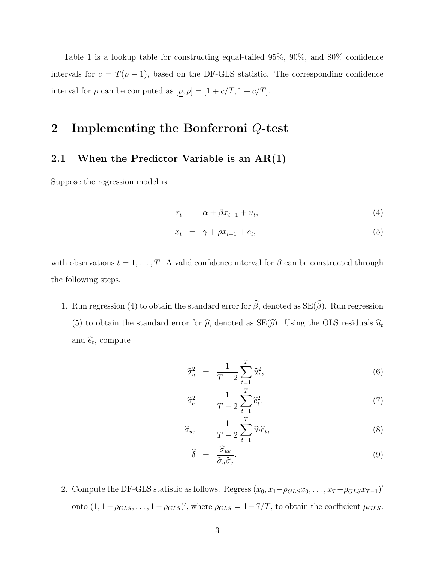Table 1 is a lookup table for constructing equal-tailed 95%, 90%, and 80% confidence intervals for  $c = T(\rho - 1)$ , based on the DF-GLS statistic. The corresponding confidence interval for  $\rho$  can be computed as  $[\underline{\rho}, \overline{\rho}] = [1 + \underline{c}/T, 1 + \overline{c}/T]$ .

## **2 Implementing the Bonferroni** Q**-test**

### **2.1 When the Predictor Variable is an AR(1)**

Suppose the regression model is

$$
r_t = \alpha + \beta x_{t-1} + u_t, \tag{4}
$$

$$
x_t = \gamma + \rho x_{t-1} + e_t, \tag{5}
$$

with observations  $t = 1, ..., T$ . A valid confidence interval for  $\beta$  can be constructed through the following steps.

1. Run regression (4) to obtain the standard error for  $\beta$ , denoted as  $SE(\beta)$ . Run regression (5) to obtain the standard error for  $\hat{\rho}$ , denoted as  $SE(\hat{\rho})$ . Using the OLS residuals  $\hat{u}_t$ and  $\hat{e}_t$ , compute

$$
\hat{\sigma}_u^2 = \frac{1}{T - 2} \sum_{t=1}^T \hat{u}_t^2, \tag{6}
$$

$$
\widehat{\sigma}_e^2 = \frac{1}{T-2} \sum_{t=1}^T \widehat{e}_t^2, \tag{7}
$$

$$
\widehat{\sigma}_{ue} = \frac{1}{T-2} \sum_{t=1}^{T} \widehat{u}_t \widehat{e}_t, \tag{8}
$$

$$
\widehat{\delta} = \frac{\widehat{\sigma}_{ue}}{\widehat{\sigma}_u \widehat{\sigma}_e}.
$$
\n(9)

2. Compute the DF-GLS statistic as follows. Regress  $(x_0, x_1 - \rho_{GLS}x_0, \ldots, x_T - \rho_{GLS}x_{T-1})'$ onto  $(1, 1-\rho_{GLS}, \ldots, 1-\rho_{GLS})'$ , where  $\rho_{GLS} = 1-7/T$ , to obtain the coefficient  $\mu_{GLS}$ .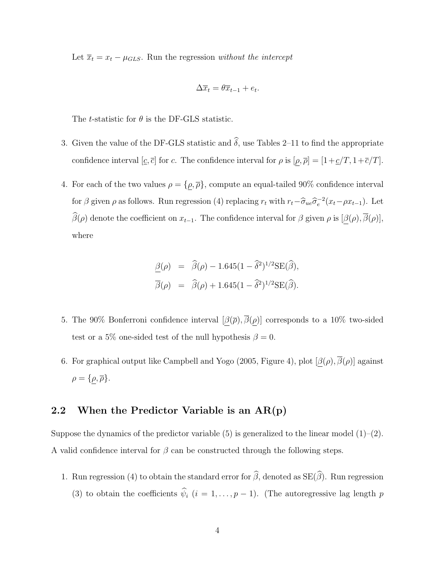Let  $\overline{x}_t = x_t - \mu_{GLS}$ . Run the regression *without the intercept* 

$$
\Delta \overline{x}_t = \theta \overline{x}_{t-1} + e_t.
$$

The *t*-statistic for  $\theta$  is the DF-GLS statistic.

- 3. Given the value of the DF-GLS statistic and  $\delta$ , use Tables 2–11 to find the appropriate confidence interval  $[c, \bar{c}]$  for c. The confidence interval for  $\rho$  is  $[\rho, \bar{\rho}] = [1 + \underline{c}/T, 1 + \bar{c}/T]$ .
- 4. For each of the two values  $\rho = {\rho, \overline{\rho}}$ , compute an equal-tailed 90% confidence interval for  $\beta$  given  $\rho$  as follows. Run regression (4) replacing  $r_t$  with  $r_t-\hat{\sigma}_{ue}\hat{\sigma}_e^{-2}(x_t-\rho x_{t-1})$ . Let  $\beta(\rho)$  denote the coefficient on  $x_{t-1}$ . The confidence interval for  $\beta$  given  $\rho$  is  $[\underline{\beta}(\rho), \beta(\rho)],$ where

$$
\frac{\beta(\rho)}{\overline{\beta}(\rho)} = \widehat{\beta}(\rho) - 1.645(1 - \widehat{\delta}^2)^{1/2} \text{SE}(\widehat{\beta}),
$$
  

$$
\overline{\beta}(\rho) = \widehat{\beta}(\rho) + 1.645(1 - \widehat{\delta}^2)^{1/2} \text{SE}(\widehat{\beta}).
$$

- 5. The 90% Bonferroni confidence interval  $[\beta(\overline{\rho}), \overline{\beta}(\rho)]$  corresponds to a 10% two-sided test or a 5% one-sided test of the null hypothesis  $\beta = 0$ .
- 6. For graphical output like Campbell and Yogo (2005, Figure 4), plot  $[\beta(\rho), \overline{\beta}(\rho)]$  against  $\rho = {\rho, \overline{\rho}}.$

#### **2.2 When the Predictor Variable is an AR(p)**

Suppose the dynamics of the predictor variable  $(5)$  is generalized to the linear model  $(1)–(2)$ . A valid confidence interval for  $\beta$  can be constructed through the following steps.

1. Run regression (4) to obtain the standard error for  $\beta$ , denoted as  $SE(\beta)$ . Run regression (3) to obtain the coefficients  $\hat{\psi}_i$  ( $i = 1, ..., p - 1$ ). (The autoregressive lag length p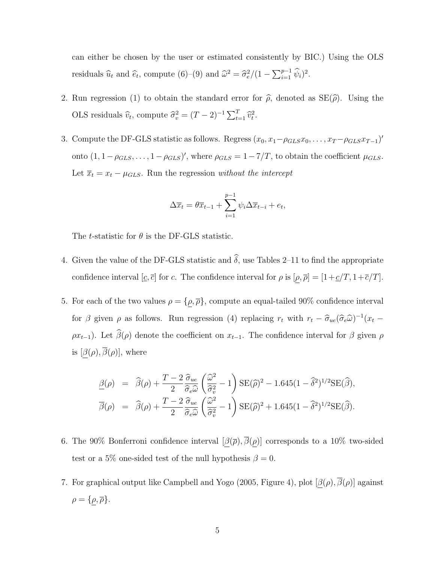can either be chosen by the user or estimated consistently by BIC.) Using the OLS residuals  $\hat{u}_t$  and  $\hat{e}_t$ , compute (6)–(9) and  $\hat{\omega}^2 = \hat{\sigma}_e^2/(1 - \sum_{i=1}^{p-1} \hat{\psi}_i)^2$ .

- 2. Run regression (1) to obtain the standard error for  $\hat{\rho}$ , denoted as  $SE(\hat{\rho})$ . Using the OLS residuals  $\hat{v}_t$ , compute  $\hat{\sigma}_v^2 = (T - 2)^{-1} \sum_{t=1}^T \hat{v}_t^2$ .
- 3. Compute the DF-GLS statistic as follows. Regress  $(x_0, x_1 \rho_{GLS}x_0, \ldots, x_T \rho_{GLS}x_{T-1})'$ onto  $(1, 1-\rho_{GLS}, \ldots, 1-\rho_{GLS})'$ , where  $\rho_{GLS} = 1-7/T$ , to obtain the coefficient  $\mu_{GLS}$ . Let  $\overline{x}_t = x_t - \mu_{GLS}$ . Run the regression *without the intercept*

$$
\Delta \overline{x}_t = \theta \overline{x}_{t-1} + \sum_{i=1}^{p-1} \psi_i \Delta \overline{x}_{t-i} + e_t,
$$

The *t*-statistic for  $\theta$  is the DF-GLS statistic.

- 4. Given the value of the DF-GLS statistic and  $\delta$ , use Tables 2–11 to find the appropriate confidence interval  $[c, \bar{c}]$  for c. The confidence interval for  $\rho$  is  $[\rho, \bar{\rho}] = [1 + \underline{c}/T, 1 + \bar{c}/T]$ .
- 5. For each of the two values  $\rho = {\rho, \overline{\rho}}$ , compute an equal-tailed 90% confidence interval for  $\beta$  given  $\rho$  as follows. Run regression (4) replacing  $r_t$  with  $r_t - \hat{\sigma}_{ue}(\hat{\sigma}_e \hat{\omega})^{-1}(x_t - \hat{\sigma}_e \hat{\omega})^{-1}$  $\rho x_{t-1}$ ). Let  $\beta(\rho)$  denote the coefficient on  $x_{t-1}$ . The confidence interval for  $\beta$  given  $\rho$ is  $[\beta(\rho), \overline{\beta}(\rho)]$ , where

$$
\frac{\beta(\rho)}{\overline{\beta}(\rho)} = \widehat{\beta}(\rho) + \frac{T - 2}{2} \frac{\widehat{\sigma}_{ue}}{\widehat{\sigma}_{e}\widehat{\omega}} \left(\frac{\widehat{\omega}^2}{\widehat{\sigma}_{v}^2} - 1\right) \text{SE}(\widehat{\rho})^2 - 1.645(1 - \widehat{\delta}^2)^{1/2} \text{SE}(\widehat{\beta}),
$$
  

$$
\overline{\beta}(\rho) = \widehat{\beta}(\rho) + \frac{T - 2}{2} \frac{\widehat{\sigma}_{ue}}{\widehat{\sigma}_{e}\widehat{\omega}} \left(\frac{\widehat{\omega}^2}{\widehat{\sigma}_{v}^2} - 1\right) \text{SE}(\widehat{\rho})^2 + 1.645(1 - \widehat{\delta}^2)^{1/2} \text{SE}(\widehat{\beta}).
$$

- 6. The 90% Bonferroni confidence interval  $[\beta(\bar{\rho}), \bar{\beta}(\rho)]$  corresponds to a 10% two-sided test or a 5% one-sided test of the null hypothesis  $\beta = 0$ .
- 7. For graphical output like Campbell and Yogo (2005, Figure 4), plot  $[\beta(\rho), \beta(\rho)]$  against  $\rho = \{\rho, \overline{\rho}\}.$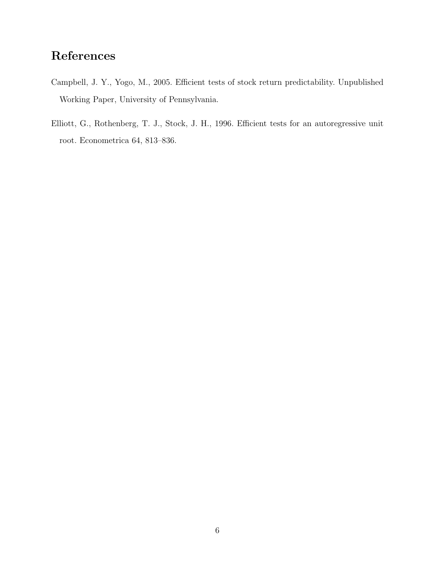## **References**

- Campbell, J. Y., Yogo, M., 2005. Efficient tests of stock return predictability. Unpublished Working Paper, University of Pennsylvania.
- Elliott, G., Rothenberg, T. J., Stock, J. H., 1996. Efficient tests for an autoregressive unit root. Econometrica 64, 813–836.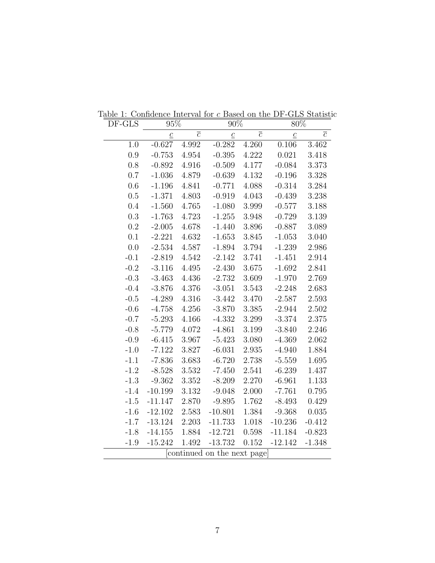| DF-GLS    | 95%            |                | $90\%$                     |                | $80\%$          |                |
|-----------|----------------|----------------|----------------------------|----------------|-----------------|----------------|
|           | $\overline{c}$ | $\overline{c}$ | $\underline{c}$            | $\overline{c}$ | $\underline{c}$ | $\overline{c}$ |
| 1.0       | $-0.627$       | 4.992          | $-0.282$                   | 4.260          | 0.106           | 3.462          |
| 0.9       | $-0.753$       | 4.954          | $-0.395$                   | 4.222          | 0.021           | 3.418          |
| 0.8       | $-0.892$       | 4.916          | $-0.509$                   | 4.177          | $-0.084$        | 3.373          |
| 0.7       | $-1.036$       | 4.879          | $-0.639$                   | 4.132          | $-0.196$        | 3.328          |
| 0.6       | $-1.196$       | 4.841          | $-0.771$                   | 4.088          | $-0.314$        | 3.284          |
| 0.5       | $-1.371$       | 4.803          | $-0.919$                   | 4.043          | $-0.439$        | 3.238          |
| 0.4       | $-1.560$       | 4.765          | $-1.080$                   | 3.999          | $-0.577$        | 3.188          |
| 0.3       | $-1.763$       | 4.723          | $-1.255$                   | 3.948          | $-0.729$        | 3.139          |
| $\rm 0.2$ | $-2.005$       | 4.678          | $-1.440$                   | 3.896          | $-0.887$        | 3.089          |
| 0.1       | $-2.221$       | 4.632          | $-1.653$                   | $3.845\,$      | $-1.053$        | 3.040          |
| 0.0       | $-2.534$       | 4.587          | $-1.894$                   | 3.794          | $-1.239$        | 2.986          |
| $-0.1$    | $-2.819$       | $4.542\,$      | $-2.142$                   | 3.741          | $-1.451$        | 2.914          |
| $-0.2$    | $-3.116$       | 4.495          | $-2.430$                   | 3.675          | $-1.692$        | 2.841          |
| $-0.3$    | $-3.463$       | 4.436          | $-2.732$                   | 3.609          | $-1.970$        | 2.769          |
| $-0.4$    | $-3.876$       | 4.376          | $-3.051$                   | 3.543          | $-2.248$        | 2.683          |
| $-0.5$    | $-4.289$       | 4.316          | $-3.442$                   | 3.470          | $-2.587$        | 2.593          |
| $-0.6$    | $-4.758$       | 4.256          | $-3.870$                   | 3.385          | $-2.944$        | 2.502          |
| $-0.7$    | $-5.293$       | 4.166          | $-4.332$                   | 3.299          | $-3.374$        | 2.375          |
| $-0.8$    | $-5.779$       | 4.072          | $-4.861$                   | $3.199\,$      | $-3.840$        | 2.246          |
| $-0.9$    | $-6.415$       | 3.967          | $-5.423$                   | 3.080          | $-4.369$        | 2.062          |
| $-1.0$    | $-7.122$       | 3.827          | $-6.031$                   | 2.935          | $-4.940$        | 1.884          |
| $-1.1$    | $-7.836$       | 3.683          | $-6.720$                   | 2.738          | $-5.559$        | 1.695          |
| $-1.2$    | $-8.528$       | 3.532          | $-7.450$                   | 2.541          | $-6.239$        | 1.437          |
| $-1.3$    | $-9.362$       | 3.352          | $-8.209$                   | 2.270          | $-6.961$        | 1.133          |
| $-1.4$    | $-10.199$      | 3.132          | $-9.048$                   | 2.000          | $-7.761$        | 0.795          |
| $-1.5$    | $-11.147$      | 2.870          | $-9.895$                   | 1.762          | $-8.493$        | 0.429          |
| $-1.6$    | $-12.102$      | 2.583          | $-10.801$                  | 1.384          | $-9.368$        | 0.035          |
| $-1.7$    | $-13.124$      | 2.203          | $-11.733$                  | 1.018          | $-10.236$       | $-0.412$       |
| $-1.8$    | $-14.155$      | 1.884          | $-12.721$                  | $0.598\,$      | $-11.184$       | $-0.823$       |
| $-1.9$    | $-15.242$      | 1.492          | $-13.732$                  | $0.152\,$      | $-12.142$       | $-1.348$       |
|           |                |                | continued on the next page |                |                 |                |

Table 1: Confidence Interval for c Based on the DF-GLS Statistic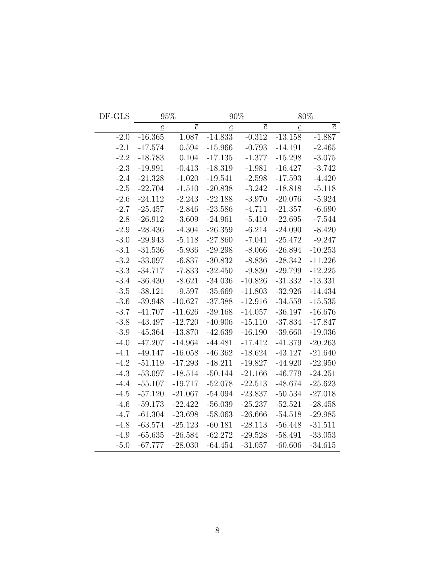| DF-GLS |                 | 95%            |                 | 90%            |                 | $80\%$         |
|--------|-----------------|----------------|-----------------|----------------|-----------------|----------------|
|        | $\underline{c}$ | $\overline{c}$ | $\underline{c}$ | $\overline{c}$ | $\underline{c}$ | $\overline{c}$ |
| $-2.0$ | $-16.365$       | 1.087          | $-14.833$       | $-0.312$       | $-13.158$       | $-1.887$       |
| $-2.1$ | $-17.574$       | 0.594          | $-15.966$       | $-0.793$       | $-14.191$       | $-2.465$       |
| $-2.2$ | $-18.783$       | 0.104          | $-17.135$       | $-1.377$       | $-15.298$       | $-3.075$       |
| $-2.3$ | $-19.991$       | $-0.413$       | $-18.319$       | $-1.981$       | $-16.427$       | $-3.742$       |
| $-2.4$ | $-21.328$       | $-1.020$       | $-19.541$       | $-2.598$       | $-17.593$       | $-4.420$       |
| $-2.5$ | $-22.704$       | $-1.510$       | $-20.838$       | $-3.242$       | $-18.818$       | $-5.118$       |
| $-2.6$ | $-24.112$       | $-2.243$       | $-22.188$       | $-3.970$       | $-20.076$       | $-5.924$       |
| $-2.7$ | $-25.457$       | $-2.846$       | $-23.586$       | $-4.711$       | $-21.357$       | $-6.690$       |
| $-2.8$ | $-26.912$       | $-3.609$       | $-24.961$       | $-5.410$       | $-22.695$       | $-7.544$       |
| $-2.9$ | $-28.436$       | $-4.304$       | $-26.359$       | $-6.214$       | $-24.090$       | $-8.420$       |
| $-3.0$ | $-29.943$       | $-5.118$       | $-27.860$       | $-7.041$       | $-25.472$       | $-9.247$       |
| $-3.1$ | $-31.536$       | $-5.936$       | $-29.298$       | $-8.066$       | $-26.894$       | $-10.253$      |
| $-3.2$ | $-33.097$       | $-6.837$       | $-30.832$       | $-8.836$       | $-28.342$       | $-11.226$      |
| $-3.3$ | $-34.717$       | $-7.833$       | $-32.450$       | $-9.830$       | $-29.799$       | $-12.225$      |
| $-3.4$ | $-36.430$       | $-8.621$       | $-34.036$       | $-10.826$      | $-31.332$       | $-13.331$      |
| $-3.5$ | $-38.121$       | $-9.597$       | $-35.669$       | $-11.803$      | $-32.926$       | $-14.434$      |
| $-3.6$ | $-39.948$       | $-10.627$      | $-37.388$       | $-12.916$      | $-34.559$       | $-15.535$      |
| $-3.7$ | $-41.707$       | $-11.626$      | $-39.168$       | $-14.057$      | $-36.197$       | $-16.676$      |
| $-3.8$ | $-43.497$       | $-12.720$      | $-40.906$       | $-15.110$      | $-37.834$       | $-17.847$      |
| $-3.9$ | $-45.364$       | $-13.870$      | $-42.639$       | $-16.190$      | $-39.660$       | $-19.036$      |
| $-4.0$ | $-47.207$       | $-14.964$      | $-44.481$       | $-17.412$      | $-41.379$       | $-20.263$      |
| $-4.1$ | $-49.147$       | $-16.058$      | $-46.362$       | $-18.624$      | $-43.127$       | $-21.640$      |
| $-4.2$ | $-51.119$       | $-17.293$      | $-48.211$       | $-19.827$      | $-44.920$       | $-22.950$      |
| $-4.3$ | $-53.097$       | $-18.514$      | $-50.144$       | $-21.166$      | $-46.779$       | $-24.251$      |
| $-4.4$ | $-55.107$       | $-19.717$      | $-52.078$       | $-22.513$      | $-48.674$       | $-25.623$      |
| $-4.5$ | $-57.120$       | $-21.067$      | $-54.094$       | $-23.837$      | $-50.534$       | $-27.018$      |
| $-4.6$ | $-59.173$       | $-22.422$      | $-56.039$       | $-25.237$      | $-52.521$       | $-28.458$      |
| $-4.7$ | $-61.304$       | $-23.698$      | $-58.063$       | $-26.666$      | $-54.518$       | $-29.985$      |
| $-4.8$ | $-63.574$       | $-25.123$      | $-60.181$       | $-28.113$      | $-56.448$       | $-31.511$      |
| $-4.9$ | $-65.635$       | $-26.584$      | $-62.272$       | $-29.528$      | $-58.491$       | $-33.053$      |
| $-5.0$ | $-67.777$       | $-28.030$      | $-64.454$       | $-31.057$      | $-60.606$       | $-34.615$      |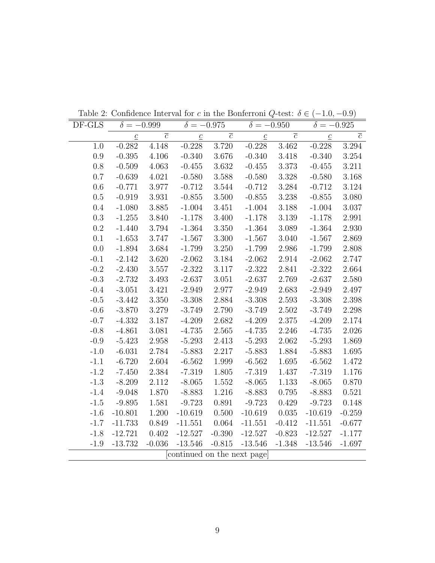| $\overline{c}$<br>$\overline{c}$<br>$\overline{c}$<br>$\overline{c}$<br>$\underline{c}$<br>$\underline{c}$<br>$\underline{c}$<br>$\underline{c}$<br>3.720<br>$-0.282$<br>4.148<br>$-0.228$<br>$-0.228$<br>3.462<br>$-0.228$<br>3.294<br>1.0<br>$0.9\,$<br>$-0.395$<br>4.106<br>$-0.340$<br>3.676<br>3.418<br>$-0.340$<br>3.254<br>$-0.340$<br>0.8<br>$-0.509$<br>4.063<br>$-0.455$<br>3.632<br>$-0.455$<br>3.373<br>$-0.455$<br>3.211<br>0.7<br>$-0.639$<br>4.021<br>$-0.580$<br>3.588<br>$-0.580$<br>3.328<br>$-0.580$<br>3.168<br>0.6<br>3.977<br>3.544<br>3.284<br>3.124<br>$-0.771$<br>$-0.712$<br>$-0.712$<br>$-0.712$<br>0.5<br>$-0.919$<br>3.931<br>$-0.855$<br>3.500<br>3.238<br>3.080<br>$-0.855$<br>$-0.855$<br>0.4<br>$-1.080$<br>3.885<br>$-1.004$<br>$3.188\,$<br>3.037<br>3.451<br>$-1.004$<br>$-1.004$<br>0.3<br>$-1.255$<br>3.840<br>$-1.178$<br>3.400<br>$-1.178$<br>$3.139\,$<br>2.991<br>$-1.178$<br>$0.2\,$<br>$-1.440$<br>3.794<br>$-1.364$<br>3.350<br>$-1.364$<br>3.089<br>$-1.364$<br>2.930<br>0.1<br>$3.300\,$<br>3.040<br>2.869<br>$-1.653$<br>3.747<br>$-1.567$<br>$-1.567$<br>$-1.567$<br>0.0<br>$-1.894$<br>3.684<br>$-1.799$<br>3.250<br>$-1.799$<br>2.986<br>$-1.799$<br>2.808<br>$3.620\,$<br>2.747<br>$-0.1$<br>$-2.142$<br>$-2.062$<br>3.184<br>$-2.062$<br>2.914<br>$-2.062$<br>$-0.2$<br>3.557<br>$-2.322$<br>3.117<br>$-2.322$<br>2.841<br>$-2.322$<br>2.664<br>$-2.430$<br>$-0.3$<br>3.493<br>$-2.637$<br>3.051<br>$-2.637$<br>2.769<br>$-2.637$<br>2.580<br>$-2.732$<br>$-0.4$<br>$-3.051$<br>3.421<br>$-2.949$<br>2.977<br>$-2.949$<br>2.683<br>$-2.949$<br>2.497<br>$-3.442$<br>3.350<br>$-3.308$<br>2.884<br>$-3.308$<br>2.593<br>$-3.308$<br>2.398<br>$-0.5$<br>$-0.6$<br>3.279<br>$-3.749$<br>2.790<br>$-3.749$<br>2.502<br>2.298<br>$-3.870$<br>$-3.749$<br>$-0.7$<br>$3.187\,$<br>2.682<br>$-4.332$<br>$-4.209$<br>$-4.209$<br>2.375<br>$-4.209$<br>2.174<br>$-0.8$<br>$-4.861$<br>3.081<br>$-4.735$<br>2.565<br>$-4.735$<br>2.246<br>$-4.735$<br>2.026<br>2.958<br>2.413<br>2.062<br>1.869<br>$-0.9$<br>$-5.423$<br>$-5.293$<br>$-5.293$<br>$-5.293$<br>2.784<br>2.217<br>1.695<br>$-1.0$<br>$-6.031$<br>$-5.883$<br>$-5.883$<br>1.884<br>$-5.883$<br>$-1.1$<br>2.604<br>1.999<br>$-6.720$<br>$-6.562$<br>$-6.562$<br>1.695<br>$-6.562$<br>1.472<br>$-1.2$<br>$-7.450$<br>2.384<br>$-7.319$<br>1.805<br>$-7.319$<br>1.437<br>$-7.319$<br>1.176<br>$1.133\,$<br>0.870<br>$-1.3$<br>$-8.209$<br>2.112<br>$-8.065$<br>1.552<br>$-8.065$<br>$-8.065$<br>1.870<br>1.216<br>0.795<br>0.521<br>$-1.4$<br>$-9.048$<br>$-8.883$<br>$-8.883$<br>$-8.883$<br>0.891<br>0.148<br>$-1.5$<br>$-9.895$<br>1.581<br>$-9.723$<br>$-9.723$<br>0.429<br>$-9.723$<br>$-0.259$<br>$-10.801$<br>1.200<br>$-10.619$<br>0.500<br>$-10.619$<br>0.035<br>$-1.6$<br>$-10.619$<br>0.849<br>$-1.7$<br>$-11.733$<br>$-11.551$<br>0.064<br>$-11.551$<br>$-0.412$<br>$-11.551$<br>$-0.677$<br>0.402<br>$-0.390$<br>$-1.8$<br>$-12.721$<br>$-12.527$<br>$-12.527$<br>$-0.823$<br>$-12.527$<br>$-1.177$ | DF-GLS | $\delta = -0.999$ | $\delta = -0.975$ | $\delta = -0.950$ | $\delta = -0.925$ |  |
|---------------------------------------------------------------------------------------------------------------------------------------------------------------------------------------------------------------------------------------------------------------------------------------------------------------------------------------------------------------------------------------------------------------------------------------------------------------------------------------------------------------------------------------------------------------------------------------------------------------------------------------------------------------------------------------------------------------------------------------------------------------------------------------------------------------------------------------------------------------------------------------------------------------------------------------------------------------------------------------------------------------------------------------------------------------------------------------------------------------------------------------------------------------------------------------------------------------------------------------------------------------------------------------------------------------------------------------------------------------------------------------------------------------------------------------------------------------------------------------------------------------------------------------------------------------------------------------------------------------------------------------------------------------------------------------------------------------------------------------------------------------------------------------------------------------------------------------------------------------------------------------------------------------------------------------------------------------------------------------------------------------------------------------------------------------------------------------------------------------------------------------------------------------------------------------------------------------------------------------------------------------------------------------------------------------------------------------------------------------------------------------------------------------------------------------------------------------------------------------------------------------------------------------------------------------------------------------------------------------------------------------------------------------------------------------------------------------------------------------------------------------------------------------------------------------------------------------------------------------------------------------------------------------------------------------------------------------------------------------------------------------------|--------|-------------------|-------------------|-------------------|-------------------|--|
|                                                                                                                                                                                                                                                                                                                                                                                                                                                                                                                                                                                                                                                                                                                                                                                                                                                                                                                                                                                                                                                                                                                                                                                                                                                                                                                                                                                                                                                                                                                                                                                                                                                                                                                                                                                                                                                                                                                                                                                                                                                                                                                                                                                                                                                                                                                                                                                                                                                                                                                                                                                                                                                                                                                                                                                                                                                                                                                                                                                                                     |        |                   |                   |                   |                   |  |
|                                                                                                                                                                                                                                                                                                                                                                                                                                                                                                                                                                                                                                                                                                                                                                                                                                                                                                                                                                                                                                                                                                                                                                                                                                                                                                                                                                                                                                                                                                                                                                                                                                                                                                                                                                                                                                                                                                                                                                                                                                                                                                                                                                                                                                                                                                                                                                                                                                                                                                                                                                                                                                                                                                                                                                                                                                                                                                                                                                                                                     |        |                   |                   |                   |                   |  |
|                                                                                                                                                                                                                                                                                                                                                                                                                                                                                                                                                                                                                                                                                                                                                                                                                                                                                                                                                                                                                                                                                                                                                                                                                                                                                                                                                                                                                                                                                                                                                                                                                                                                                                                                                                                                                                                                                                                                                                                                                                                                                                                                                                                                                                                                                                                                                                                                                                                                                                                                                                                                                                                                                                                                                                                                                                                                                                                                                                                                                     |        |                   |                   |                   |                   |  |
|                                                                                                                                                                                                                                                                                                                                                                                                                                                                                                                                                                                                                                                                                                                                                                                                                                                                                                                                                                                                                                                                                                                                                                                                                                                                                                                                                                                                                                                                                                                                                                                                                                                                                                                                                                                                                                                                                                                                                                                                                                                                                                                                                                                                                                                                                                                                                                                                                                                                                                                                                                                                                                                                                                                                                                                                                                                                                                                                                                                                                     |        |                   |                   |                   |                   |  |
|                                                                                                                                                                                                                                                                                                                                                                                                                                                                                                                                                                                                                                                                                                                                                                                                                                                                                                                                                                                                                                                                                                                                                                                                                                                                                                                                                                                                                                                                                                                                                                                                                                                                                                                                                                                                                                                                                                                                                                                                                                                                                                                                                                                                                                                                                                                                                                                                                                                                                                                                                                                                                                                                                                                                                                                                                                                                                                                                                                                                                     |        |                   |                   |                   |                   |  |
|                                                                                                                                                                                                                                                                                                                                                                                                                                                                                                                                                                                                                                                                                                                                                                                                                                                                                                                                                                                                                                                                                                                                                                                                                                                                                                                                                                                                                                                                                                                                                                                                                                                                                                                                                                                                                                                                                                                                                                                                                                                                                                                                                                                                                                                                                                                                                                                                                                                                                                                                                                                                                                                                                                                                                                                                                                                                                                                                                                                                                     |        |                   |                   |                   |                   |  |
|                                                                                                                                                                                                                                                                                                                                                                                                                                                                                                                                                                                                                                                                                                                                                                                                                                                                                                                                                                                                                                                                                                                                                                                                                                                                                                                                                                                                                                                                                                                                                                                                                                                                                                                                                                                                                                                                                                                                                                                                                                                                                                                                                                                                                                                                                                                                                                                                                                                                                                                                                                                                                                                                                                                                                                                                                                                                                                                                                                                                                     |        |                   |                   |                   |                   |  |
|                                                                                                                                                                                                                                                                                                                                                                                                                                                                                                                                                                                                                                                                                                                                                                                                                                                                                                                                                                                                                                                                                                                                                                                                                                                                                                                                                                                                                                                                                                                                                                                                                                                                                                                                                                                                                                                                                                                                                                                                                                                                                                                                                                                                                                                                                                                                                                                                                                                                                                                                                                                                                                                                                                                                                                                                                                                                                                                                                                                                                     |        |                   |                   |                   |                   |  |
|                                                                                                                                                                                                                                                                                                                                                                                                                                                                                                                                                                                                                                                                                                                                                                                                                                                                                                                                                                                                                                                                                                                                                                                                                                                                                                                                                                                                                                                                                                                                                                                                                                                                                                                                                                                                                                                                                                                                                                                                                                                                                                                                                                                                                                                                                                                                                                                                                                                                                                                                                                                                                                                                                                                                                                                                                                                                                                                                                                                                                     |        |                   |                   |                   |                   |  |
|                                                                                                                                                                                                                                                                                                                                                                                                                                                                                                                                                                                                                                                                                                                                                                                                                                                                                                                                                                                                                                                                                                                                                                                                                                                                                                                                                                                                                                                                                                                                                                                                                                                                                                                                                                                                                                                                                                                                                                                                                                                                                                                                                                                                                                                                                                                                                                                                                                                                                                                                                                                                                                                                                                                                                                                                                                                                                                                                                                                                                     |        |                   |                   |                   |                   |  |
|                                                                                                                                                                                                                                                                                                                                                                                                                                                                                                                                                                                                                                                                                                                                                                                                                                                                                                                                                                                                                                                                                                                                                                                                                                                                                                                                                                                                                                                                                                                                                                                                                                                                                                                                                                                                                                                                                                                                                                                                                                                                                                                                                                                                                                                                                                                                                                                                                                                                                                                                                                                                                                                                                                                                                                                                                                                                                                                                                                                                                     |        |                   |                   |                   |                   |  |
|                                                                                                                                                                                                                                                                                                                                                                                                                                                                                                                                                                                                                                                                                                                                                                                                                                                                                                                                                                                                                                                                                                                                                                                                                                                                                                                                                                                                                                                                                                                                                                                                                                                                                                                                                                                                                                                                                                                                                                                                                                                                                                                                                                                                                                                                                                                                                                                                                                                                                                                                                                                                                                                                                                                                                                                                                                                                                                                                                                                                                     |        |                   |                   |                   |                   |  |
|                                                                                                                                                                                                                                                                                                                                                                                                                                                                                                                                                                                                                                                                                                                                                                                                                                                                                                                                                                                                                                                                                                                                                                                                                                                                                                                                                                                                                                                                                                                                                                                                                                                                                                                                                                                                                                                                                                                                                                                                                                                                                                                                                                                                                                                                                                                                                                                                                                                                                                                                                                                                                                                                                                                                                                                                                                                                                                                                                                                                                     |        |                   |                   |                   |                   |  |
|                                                                                                                                                                                                                                                                                                                                                                                                                                                                                                                                                                                                                                                                                                                                                                                                                                                                                                                                                                                                                                                                                                                                                                                                                                                                                                                                                                                                                                                                                                                                                                                                                                                                                                                                                                                                                                                                                                                                                                                                                                                                                                                                                                                                                                                                                                                                                                                                                                                                                                                                                                                                                                                                                                                                                                                                                                                                                                                                                                                                                     |        |                   |                   |                   |                   |  |
|                                                                                                                                                                                                                                                                                                                                                                                                                                                                                                                                                                                                                                                                                                                                                                                                                                                                                                                                                                                                                                                                                                                                                                                                                                                                                                                                                                                                                                                                                                                                                                                                                                                                                                                                                                                                                                                                                                                                                                                                                                                                                                                                                                                                                                                                                                                                                                                                                                                                                                                                                                                                                                                                                                                                                                                                                                                                                                                                                                                                                     |        |                   |                   |                   |                   |  |
|                                                                                                                                                                                                                                                                                                                                                                                                                                                                                                                                                                                                                                                                                                                                                                                                                                                                                                                                                                                                                                                                                                                                                                                                                                                                                                                                                                                                                                                                                                                                                                                                                                                                                                                                                                                                                                                                                                                                                                                                                                                                                                                                                                                                                                                                                                                                                                                                                                                                                                                                                                                                                                                                                                                                                                                                                                                                                                                                                                                                                     |        |                   |                   |                   |                   |  |
|                                                                                                                                                                                                                                                                                                                                                                                                                                                                                                                                                                                                                                                                                                                                                                                                                                                                                                                                                                                                                                                                                                                                                                                                                                                                                                                                                                                                                                                                                                                                                                                                                                                                                                                                                                                                                                                                                                                                                                                                                                                                                                                                                                                                                                                                                                                                                                                                                                                                                                                                                                                                                                                                                                                                                                                                                                                                                                                                                                                                                     |        |                   |                   |                   |                   |  |
|                                                                                                                                                                                                                                                                                                                                                                                                                                                                                                                                                                                                                                                                                                                                                                                                                                                                                                                                                                                                                                                                                                                                                                                                                                                                                                                                                                                                                                                                                                                                                                                                                                                                                                                                                                                                                                                                                                                                                                                                                                                                                                                                                                                                                                                                                                                                                                                                                                                                                                                                                                                                                                                                                                                                                                                                                                                                                                                                                                                                                     |        |                   |                   |                   |                   |  |
|                                                                                                                                                                                                                                                                                                                                                                                                                                                                                                                                                                                                                                                                                                                                                                                                                                                                                                                                                                                                                                                                                                                                                                                                                                                                                                                                                                                                                                                                                                                                                                                                                                                                                                                                                                                                                                                                                                                                                                                                                                                                                                                                                                                                                                                                                                                                                                                                                                                                                                                                                                                                                                                                                                                                                                                                                                                                                                                                                                                                                     |        |                   |                   |                   |                   |  |
|                                                                                                                                                                                                                                                                                                                                                                                                                                                                                                                                                                                                                                                                                                                                                                                                                                                                                                                                                                                                                                                                                                                                                                                                                                                                                                                                                                                                                                                                                                                                                                                                                                                                                                                                                                                                                                                                                                                                                                                                                                                                                                                                                                                                                                                                                                                                                                                                                                                                                                                                                                                                                                                                                                                                                                                                                                                                                                                                                                                                                     |        |                   |                   |                   |                   |  |
|                                                                                                                                                                                                                                                                                                                                                                                                                                                                                                                                                                                                                                                                                                                                                                                                                                                                                                                                                                                                                                                                                                                                                                                                                                                                                                                                                                                                                                                                                                                                                                                                                                                                                                                                                                                                                                                                                                                                                                                                                                                                                                                                                                                                                                                                                                                                                                                                                                                                                                                                                                                                                                                                                                                                                                                                                                                                                                                                                                                                                     |        |                   |                   |                   |                   |  |
|                                                                                                                                                                                                                                                                                                                                                                                                                                                                                                                                                                                                                                                                                                                                                                                                                                                                                                                                                                                                                                                                                                                                                                                                                                                                                                                                                                                                                                                                                                                                                                                                                                                                                                                                                                                                                                                                                                                                                                                                                                                                                                                                                                                                                                                                                                                                                                                                                                                                                                                                                                                                                                                                                                                                                                                                                                                                                                                                                                                                                     |        |                   |                   |                   |                   |  |
|                                                                                                                                                                                                                                                                                                                                                                                                                                                                                                                                                                                                                                                                                                                                                                                                                                                                                                                                                                                                                                                                                                                                                                                                                                                                                                                                                                                                                                                                                                                                                                                                                                                                                                                                                                                                                                                                                                                                                                                                                                                                                                                                                                                                                                                                                                                                                                                                                                                                                                                                                                                                                                                                                                                                                                                                                                                                                                                                                                                                                     |        |                   |                   |                   |                   |  |
|                                                                                                                                                                                                                                                                                                                                                                                                                                                                                                                                                                                                                                                                                                                                                                                                                                                                                                                                                                                                                                                                                                                                                                                                                                                                                                                                                                                                                                                                                                                                                                                                                                                                                                                                                                                                                                                                                                                                                                                                                                                                                                                                                                                                                                                                                                                                                                                                                                                                                                                                                                                                                                                                                                                                                                                                                                                                                                                                                                                                                     |        |                   |                   |                   |                   |  |
|                                                                                                                                                                                                                                                                                                                                                                                                                                                                                                                                                                                                                                                                                                                                                                                                                                                                                                                                                                                                                                                                                                                                                                                                                                                                                                                                                                                                                                                                                                                                                                                                                                                                                                                                                                                                                                                                                                                                                                                                                                                                                                                                                                                                                                                                                                                                                                                                                                                                                                                                                                                                                                                                                                                                                                                                                                                                                                                                                                                                                     |        |                   |                   |                   |                   |  |
|                                                                                                                                                                                                                                                                                                                                                                                                                                                                                                                                                                                                                                                                                                                                                                                                                                                                                                                                                                                                                                                                                                                                                                                                                                                                                                                                                                                                                                                                                                                                                                                                                                                                                                                                                                                                                                                                                                                                                                                                                                                                                                                                                                                                                                                                                                                                                                                                                                                                                                                                                                                                                                                                                                                                                                                                                                                                                                                                                                                                                     |        |                   |                   |                   |                   |  |
|                                                                                                                                                                                                                                                                                                                                                                                                                                                                                                                                                                                                                                                                                                                                                                                                                                                                                                                                                                                                                                                                                                                                                                                                                                                                                                                                                                                                                                                                                                                                                                                                                                                                                                                                                                                                                                                                                                                                                                                                                                                                                                                                                                                                                                                                                                                                                                                                                                                                                                                                                                                                                                                                                                                                                                                                                                                                                                                                                                                                                     |        |                   |                   |                   |                   |  |
|                                                                                                                                                                                                                                                                                                                                                                                                                                                                                                                                                                                                                                                                                                                                                                                                                                                                                                                                                                                                                                                                                                                                                                                                                                                                                                                                                                                                                                                                                                                                                                                                                                                                                                                                                                                                                                                                                                                                                                                                                                                                                                                                                                                                                                                                                                                                                                                                                                                                                                                                                                                                                                                                                                                                                                                                                                                                                                                                                                                                                     |        |                   |                   |                   |                   |  |
|                                                                                                                                                                                                                                                                                                                                                                                                                                                                                                                                                                                                                                                                                                                                                                                                                                                                                                                                                                                                                                                                                                                                                                                                                                                                                                                                                                                                                                                                                                                                                                                                                                                                                                                                                                                                                                                                                                                                                                                                                                                                                                                                                                                                                                                                                                                                                                                                                                                                                                                                                                                                                                                                                                                                                                                                                                                                                                                                                                                                                     |        |                   |                   |                   |                   |  |
|                                                                                                                                                                                                                                                                                                                                                                                                                                                                                                                                                                                                                                                                                                                                                                                                                                                                                                                                                                                                                                                                                                                                                                                                                                                                                                                                                                                                                                                                                                                                                                                                                                                                                                                                                                                                                                                                                                                                                                                                                                                                                                                                                                                                                                                                                                                                                                                                                                                                                                                                                                                                                                                                                                                                                                                                                                                                                                                                                                                                                     |        |                   |                   |                   |                   |  |
| $-13.732$<br>$-0.036$<br>$-13.546$<br>$-0.815$<br>$-13.546$<br>$-1.348$<br>$-13.546$<br>$-1.697$<br>$-1.9$                                                                                                                                                                                                                                                                                                                                                                                                                                                                                                                                                                                                                                                                                                                                                                                                                                                                                                                                                                                                                                                                                                                                                                                                                                                                                                                                                                                                                                                                                                                                                                                                                                                                                                                                                                                                                                                                                                                                                                                                                                                                                                                                                                                                                                                                                                                                                                                                                                                                                                                                                                                                                                                                                                                                                                                                                                                                                                          |        |                   |                   |                   |                   |  |
| continued on the next page                                                                                                                                                                                                                                                                                                                                                                                                                                                                                                                                                                                                                                                                                                                                                                                                                                                                                                                                                                                                                                                                                                                                                                                                                                                                                                                                                                                                                                                                                                                                                                                                                                                                                                                                                                                                                                                                                                                                                                                                                                                                                                                                                                                                                                                                                                                                                                                                                                                                                                                                                                                                                                                                                                                                                                                                                                                                                                                                                                                          |        |                   |                   |                   |                   |  |

Table 2: Confidence Interval for c in the Bonferroni Q-test:  $\delta \in (-1.0, -0.9)$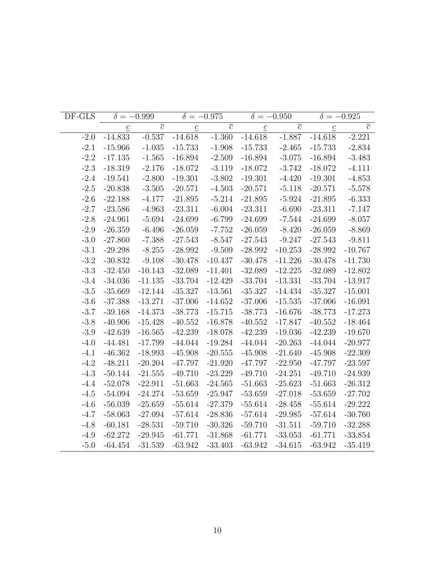| DF-GLS |                 | $\delta = -0.999$ |                 | $\delta = -0.975$ |                 | $\delta = -0.950$ | $\delta = -0.925$ |                |
|--------|-----------------|-------------------|-----------------|-------------------|-----------------|-------------------|-------------------|----------------|
|        | $\underline{c}$ | $\overline{c}$    | $\underline{c}$ | $\overline{c}$    | $\underline{c}$ | $\overline{c}$    | $\underline{c}$   | $\overline{c}$ |
| $-2.0$ | $-14.833$       | $-0.537$          | $-14.618$       | $-1.360$          | $-14.618$       | $-1.887$          | $-14.618$         | $-2.221$       |
| $-2.1$ | $-15.966$       | $-1.035$          | $-15.733$       | $-1.908$          | $-15.733$       | $-2.465$          | $-15.733$         | $-2.834$       |
| $-2.2$ | $-17.135$       | $-1.565$          | $-16.894$       | $-2.509$          | $-16.894$       | $-3.075$          | $-16.894$         | $-3.483$       |
| $-2.3$ | $-18.319$       | $-2.176$          | $-18.072$       | $-3.119$          | $-18.072$       | $-3.742$          | $-18.072$         | $-4.111$       |
| $-2.4$ | $-19.541$       | $-2.800$          | $-19.301$       | $-3.802$          | $-19.301$       | $-4.420$          | $-19.301$         | $-4.853$       |
| $-2.5$ | $-20.838$       | $-3.505$          | $-20.571$       | $-4.503$          | $-20.571$       | $-5.118$          | $-20.571$         | $-5.578$       |
| $-2.6$ | $-22.188$       | $-4.177$          | $-21.895$       | $-5.214$          | $-21.895$       | $-5.924$          | $-21.895$         | $-6.333$       |
| $-2.7$ | $-23.586$       | $-4.963$          | $-23.311$       | $-6.004$          | $-23.311$       | $-6.690$          | $-23.311$         | $-7.147$       |
| $-2.8$ | $-24.961$       | $-5.694$          | $-24.699$       | $-6.799$          | $-24.699$       | $-7.544$          | $-24.699$         | $-8.057$       |
| $-2.9$ | $-26.359$       | $-6.496$          | $-26.059$       | $-7.752$          | $-26.059$       | $-8.420$          | $-26.059$         | $-8.869$       |
| $-3.0$ | $-27.860$       | $-7.388$          | $-27.543$       | $-8.547$          | $-27.543$       | $-9.247$          | $-27.543$         | $-9.811$       |
| $-3.1$ | $-29.298$       | $-8.255$          | $-28.992$       | $-9.509$          | $-28.992$       | $-10.253$         | $-28.992$         | $-10.767$      |
| $-3.2$ | $-30.832$       | $-9.108$          | $-30.478$       | $-10.437$         | $-30.478$       | $-11.226$         | $-30.478$         | $-11.730$      |
| $-3.3$ | $-32.450$       | $-10.143$         | $-32.089$       | $-11.401$         | $-32.089$       | $-12.225$         | $-32.089$         | $-12.802$      |
| $-3.4$ | $-34.036$       | $-11.135$         | $-33.704$       | $-12.429$         | $-33.704$       | $-13.331$         | $-33.704$         | $-13.917$      |
| $-3.5$ | $-35.669$       | $-12.144$         | $-35.327$       | $-13.561$         | $-35.327$       | $-14.434$         | $-35.327$         | $-15.001$      |
| $-3.6$ | $-37.388$       | $-13.271$         | $-37.006$       | $-14.652$         | $-37.006$       | $-15.535$         | $-37.006$         | $-16.091$      |
| $-3.7$ | $-39.168$       | $-14.373$         | $-38.773$       | $-15.715$         | $-38.773$       | $-16.676$         | $-38.773$         | $-17.273$      |
| $-3.8$ | $-40.906$       | $-15.428$         | $-40.552$       | $-16.878$         | $-40.552$       | $-17.847$         | $-40.552$         | $-18.464$      |
| $-3.9$ | $-42.639$       | $-16.565$         | $-42.239$       | $-18.078$         | $-42.239$       | $-19.036$         | $-42.239$         | $-19.670$      |
| $-4.0$ | $-44.481$       | $-17.799$         | $-44.044$       | $-19.284$         | $-44.044$       | $-20.263$         | $-44.044$         | $-20.977$      |
| $-4.1$ | $-46.362$       | $-18.993$         | $-45.908$       | $-20.555$         | $-45.908$       | $-21.640$         | $-45.908$         | $-22.309$      |
| $-4.2$ | $-48.211$       | $-20.204$         | $-47.797$       | $-21.920$         | $-47.797$       | $-22.950$         | $-47.797$         | $-23.597$      |
| $-4.3$ | $-50.144$       | $-21.555$         | $-49.710$       | $-23.229$         | $-49.710$       | $-24.251$         | $-49.710$         | $-24.939$      |
| $-4.4$ | $-52.078$       | $-22.911$         | $-51.663$       | $-24.565$         | $-51.663$       | $-25.623$         | $-51.663$         | $-26.312$      |
| $-4.5$ | $-54.094$       | $-24.274$         | $-53.659$       | $-25.947$         | $-53.659$       | $-27.018$         | $-53.659$         | $-27.702$      |
| $-4.6$ | $-56.039$       | $-25.659$         | $-55.614$       | $-27.379$         | $-55.614$       | $-28.458$         | $-55.614$         | $-29.222$      |
| $-4.7$ | $-58.063$       | $-27.094$         | $-57.614$       | $-28.836$         | $-57.614$       | $-29.985$         | $-57.614$         | $-30.760$      |
| $-4.8$ | $-60.181$       | $-28.531$         | $-59.710$       | $-30.326$         | $-59.710$       | $-31.511$         | $-59.710$         | $-32.288$      |
| $-4.9$ | $-62.272$       | $-29.945$         | $-61.771$       | $-31.868$         | $-61.771$       | $-33.053$         | $-61.771$         | $-33.854$      |
| $-5.0$ | $-64.454$       | $-31.539$         | $-63.942$       | $-33.403$         | $-63.942$       | $-34.615$         | $-63.942$         | $-35.419$      |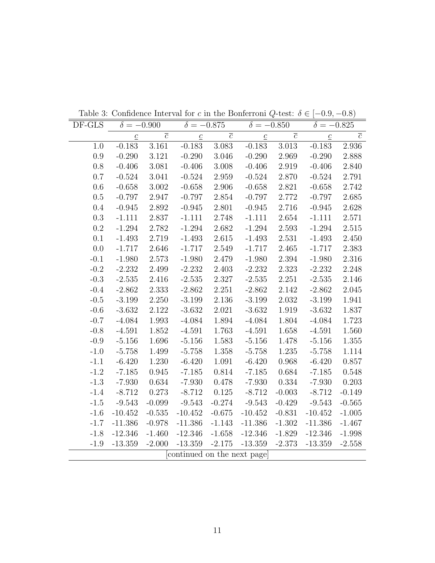| DF-GLS | $\delta = -0.900$         |                | $\delta = -0.875$          |                | $\delta = -0.850$         |                | $\delta = -0.825$         |                |
|--------|---------------------------|----------------|----------------------------|----------------|---------------------------|----------------|---------------------------|----------------|
|        | $\underline{\mathcal{C}}$ | $\overline{c}$ | $\underline{c}$            | $\overline{c}$ | $\underline{\mathcal{C}}$ | $\overline{c}$ | $\underline{\mathcal{C}}$ | $\overline{c}$ |
| 1.0    | $-0.183$                  | $3.161\,$      | $-0.183$                   | 3.083          | $-0.183$                  | 3.013          | $-0.183$                  | 2.936          |
| 0.9    | $-0.290$                  | 3.121          | $-0.290$                   | 3.046          | $-0.290$                  | 2.969          | $-0.290$                  | 2.888          |
| 0.8    | $-0.406$                  | 3.081          | $-0.406$                   | $3.008\,$      | $-0.406$                  | 2.919          | $-0.406$                  | 2.840          |
| 0.7    | $-0.524$                  | 3.041          | $-0.524$                   | 2.959          | $-0.524$                  | 2.870          | $-0.524$                  | 2.791          |
| 0.6    | $-0.658$                  | $3.002\,$      | $-0.658$                   | 2.906          | $-0.658$                  | 2.821          | $-0.658$                  | 2.742          |
| 0.5    | $-0.797$                  | 2.947          | $-0.797$                   | 2.854          | $-0.797$                  | 2.772          | $-0.797$                  | 2.685          |
| 0.4    | $-0.945$                  | 2.892          | $-0.945$                   | 2.801          | $-0.945$                  | 2.716          | $-0.945$                  | 2.628          |
| 0.3    | $-1.111$                  | 2.837          | $-1.111$                   | 2.748          | $-1.111$                  | 2.654          | $-1.111$                  | 2.571          |
| 0.2    | $-1.294$                  | 2.782          | $-1.294$                   | 2.682          | $-1.294$                  | 2.593          | $-1.294$                  | 2.515          |
| 0.1    | $-1.493$                  | 2.719          | $-1.493$                   | 2.615          | $-1.493$                  | 2.531          | $-1.493$                  | 2.450          |
| 0.0    | $-1.717$                  | 2.646          | $-1.717$                   | 2.549          | $-1.717$                  | 2.465          | $-1.717$                  | 2.383          |
| $-0.1$ | $-1.980$                  | 2.573          | $-1.980$                   | 2.479          | $-1.980$                  | 2.394          | $-1.980$                  | 2.316          |
| $-0.2$ | $-2.232$                  | 2.499          | $-2.232$                   | 2.403          | $-2.232$                  | 2.323          | $-2.232$                  | 2.248          |
| $-0.3$ | $-2.535$                  | 2.416          | $-2.535$                   | 2.327          | $-2.535$                  | 2.251          | $-2.535$                  | 2.146          |
| $-0.4$ | $-2.862$                  | 2.333          | $-2.862$                   | 2.251          | $-2.862$                  | 2.142          | $-2.862$                  | 2.045          |
| $-0.5$ | $-3.199$                  | 2.250          | $-3.199$                   | 2.136          | $-3.199$                  | 2.032          | $-3.199$                  | 1.941          |
| $-0.6$ | $-3.632$                  | 2.122          | $-3.632$                   | 2.021          | $-3.632$                  | 1.919          | $-3.632$                  | 1.837          |
| $-0.7$ | $-4.084$                  | 1.993          | $-4.084$                   | 1.894          | $-4.084$                  | 1.804          | $-4.084$                  | 1.723          |
| $-0.8$ | $-4.591$                  | 1.852          | $-4.591$                   | 1.763          | $-4.591$                  | 1.658          | $-4.591$                  | 1.560          |
| $-0.9$ | $-5.156$                  | 1.696          | $-5.156$                   | $1.583\,$      | $-5.156$                  | 1.478          | $-5.156$                  | $1.355\,$      |
| $-1.0$ | $-5.758$                  | 1.499          | $-5.758$                   | 1.358          | $-5.758$                  | 1.235          | $-5.758$                  | 1.114          |
| $-1.1$ | $-6.420$                  | 1.230          | $-6.420$                   | 1.091          | $-6.420$                  | 0.968          | $-6.420$                  | 0.857          |
| $-1.2$ | $-7.185$                  | 0.945          | $-7.185$                   | 0.814          | $-7.185$                  | 0.684          | $-7.185$                  | 0.548          |
| $-1.3$ | $-7.930$                  | 0.634          | $-7.930$                   | 0.478          | $-7.930$                  | 0.334          | $-7.930$                  | 0.203          |
| $-1.4$ | $-8.712$                  | 0.273          | $-8.712$                   | 0.125          | $-8.712$                  | $-0.003$       | $-8.712$                  | $-0.149$       |
| $-1.5$ | $-9.543$                  | $-0.099$       | $-9.543$                   | $-0.274$       | $-9.543$                  | $-0.429$       | $-9.543$                  | $-0.565$       |
| $-1.6$ | $-10.452$                 | $-0.535$       | $-10.452$                  | $-0.675$       | $-10.452$                 | $-0.831$       | $-10.452$                 | $-1.005$       |
| $-1.7$ | $-11.386$                 | $-0.978$       | $-11.386$                  | $-1.143$       | $-11.386$                 | $-1.302$       | $-11.386$                 | $-1.467$       |
| $-1.8$ | $-12.346$                 | $-1.460$       | $-12.346$                  | $-1.658$       | $-12.346$                 | $-1.829$       | $-12.346$                 | $-1.998$       |
| $-1.9$ | $-13.359$                 | $-2.000$       | $-13.359$                  | $-2.175$       | $-13.359$                 | $-2.373$       | $-13.359$                 | $-2.558$       |
|        |                           |                | continued on the next page |                |                           |                |                           |                |

Table 3: Confidence Interval for c in the Bonferroni Q-test:  $\delta \in [-0.9, -0.8)$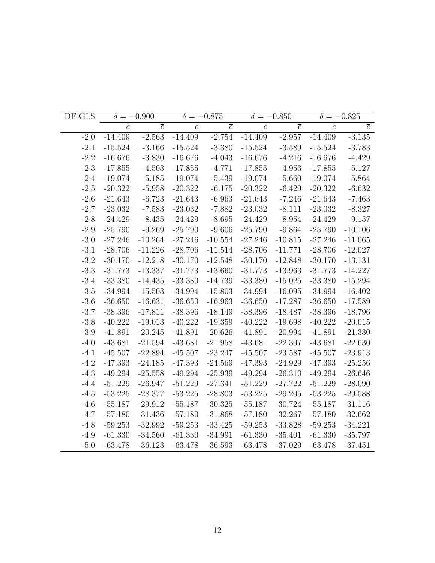| DF-GLS |                 | $\delta = -0.900$ |                 | $\delta = -0.875$ |                 | $\delta = -0.850$ | $\delta = -0.825$ |                |
|--------|-----------------|-------------------|-----------------|-------------------|-----------------|-------------------|-------------------|----------------|
|        | $\underline{c}$ | $\overline{c}$    | $\underline{c}$ | $\overline{c}$    | $\underline{c}$ | $\overline{c}$    | $\underline{c}$   | $\overline{c}$ |
| $-2.0$ | $-14.409$       | $-2.563$          | $-14.409$       | $-2.754$          | $-14.409$       | $-2.957$          | $-14.409$         | $-3.135$       |
| $-2.1$ | $-15.524$       | $-3.166$          | $-15.524$       | $-3.380$          | $-15.524$       | $-3.589$          | $-15.524$         | $-3.783$       |
| $-2.2$ | $-16.676$       | $-3.830$          | $-16.676$       | $-4.043$          | $-16.676$       | $-4.216$          | $-16.676$         | $-4.429$       |
| $-2.3$ | $-17.855$       | $-4.503$          | $-17.855$       | $-4.771$          | $-17.855$       | $-4.953$          | $-17.855$         | $-5.127$       |
| $-2.4$ | $-19.074$       | $-5.185$          | $-19.074$       | $-5.439$          | $-19.074$       | $-5.660$          | $-19.074$         | $-5.864$       |
| $-2.5$ | $-20.322$       | $-5.958$          | $-20.322$       | $-6.175$          | $-20.322$       | $-6.429$          | $-20.322$         | $-6.632$       |
| $-2.6$ | $-21.643$       | $-6.723$          | $-21.643$       | $-6.963$          | $-21.643$       | $-7.246$          | $-21.643$         | $-7.463$       |
| $-2.7$ | $-23.032$       | $-7.583$          | $-23.032$       | $-7.882$          | $-23.032$       | $-8.111$          | $-23.032$         | $-8.327$       |
| $-2.8$ | $-24.429$       | $-8.435$          | $-24.429$       | $-8.695$          | $-24.429$       | $-8.954$          | $-24.429$         | $-9.157$       |
| $-2.9$ | $-25.790$       | $-9.269$          | $-25.790$       | $-9.606$          | $-25.790$       | $-9.864$          | $-25.790$         | $-10.106$      |
| $-3.0$ | $-27.246$       | $-10.264$         | $-27.246$       | $-10.554$         | $-27.246$       | $-10.815$         | $-27.246$         | $-11.065$      |
| $-3.1$ | $-28.706$       | $-11.226$         | $-28.706$       | $-11.514$         | $-28.706$       | $-11.771$         | $-28.706$         | $-12.027$      |
| $-3.2$ | $-30.170$       | $-12.218$         | $-30.170$       | $-12.548$         | $-30.170$       | $-12.848$         | $-30.170$         | $-13.131$      |
| $-3.3$ | $-31.773$       | $-13.337$         | $-31.773$       | $-13.660$         | $-31.773$       | $-13.963$         | $-31.773$         | $-14.227$      |
| $-3.4$ | $-33.380$       | $-14.435$         | $-33.380$       | $-14.739$         | $-33.380$       | $-15.025$         | $-33.380$         | $-15.294$      |
| $-3.5$ | $-34.994$       | $-15.503$         | $-34.994$       | $-15.803$         | $-34.994$       | $-16.095$         | $-34.994$         | $-16.402$      |
| $-3.6$ | $-36.650$       | $-16.631$         | $-36.650$       | $-16.963$         | $-36.650$       | $-17.287$         | $-36.650$         | $-17.589$      |
| $-3.7$ | $-38.396$       | $-17.811$         | $-38.396$       | $-18.149$         | $-38.396$       | $-18.487$         | $-38.396$         | $-18.796$      |
| $-3.8$ | $-40.222$       | $-19.013$         | $-40.222$       | $-19.359$         | $-40.222$       | $-19.698$         | $-40.222$         | $-20.015$      |
| $-3.9$ | $-41.891$       | $-20.245$         | $-41.891$       | $-20.626$         | $-41.891$       | $-20.994$         | $-41.891$         | $-21.330$      |
| $-4.0$ | $-43.681$       | $-21.594$         | $-43.681$       | $-21.958$         | $-43.681$       | $-22.307$         | $-43.681$         | $-22.630$      |
| $-4.1$ | $-45.507$       | $-22.894$         | $-45.507$       | $-23.247$         | $-45.507$       | $-23.587$         | $-45.507$         | $-23.913$      |
| $-4.2$ | $-47.393$       | $-24.185$         | $-47.393$       | $-24.569$         | $-47.393$       | $-24.929$         | $-47.393$         | $-25.256$      |
| $-4.3$ | $-49.294$       | $-25.558$         | $-49.294$       | $-25.939$         | $-49.294$       | $-26.310$         | $-49.294$         | $-26.646$      |
| $-4.4$ | $-51.229$       | $-26.947$         | $-51.229$       | $-27.341$         | $-51.229$       | $-27.722$         | $-51.229$         | $-28.090$      |
| $-4.5$ | $-53.225$       | $-28.377$         | $-53.225$       | $-28.803$         | $-53.225$       | $-29.205$         | $-53.225$         | $-29.588$      |
| $-4.6$ | $-55.187$       | $-29.912$         | $-55.187$       | $-30.325$         | $-55.187$       | $-30.724$         | $-55.187$         | $-31.116$      |
| $-4.7$ | $-57.180$       | $-31.436$         | $-57.180$       | $-31.868$         | $-57.180$       | $-32.267$         | $-57.180$         | $-32.662$      |
| $-4.8$ | $-59.253$       | $-32.992$         | $-59.253$       | $-33.425$         | $-59.253$       | $-33.828$         | $-59.253$         | $-34.221$      |
| $-4.9$ | $-61.330$       | $-34.560$         | $-61.330$       | $-34.991$         | $-61.330$       | $-35.401$         | $-61.330$         | $-35.797$      |
| $-5.0$ | $-63.478$       | $-36.123$         | $-63.478$       | $-36.593$         | $-63.478$       | $-37.029$         | $-63.478$         | $-37.451$      |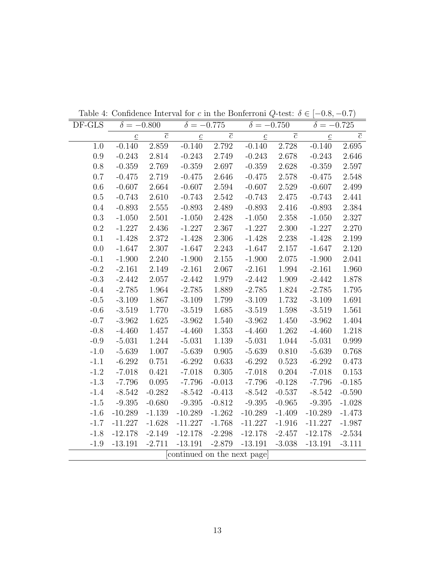| DF-GLS  | $\delta = -0.800$ |                | $\delta = -0.775$          |                | $\delta = -0.750$ |                | $\delta = -0.725$ |                |
|---------|-------------------|----------------|----------------------------|----------------|-------------------|----------------|-------------------|----------------|
|         | $\underline{c}$   | $\overline{c}$ | $\underline{\mathcal{C}}$  | $\overline{c}$ | $\underline{c}$   | $\overline{c}$ | $\underline{c}$   | $\overline{c}$ |
| 1.0     | $-0.140$          | 2.859          | $-0.140$                   | 2.792          | $-0.140$          | 2.728          | $-0.140$          | 2.695          |
| 0.9     | $-0.243$          | 2.814          | $-0.243$                   | 2.749          | $-0.243$          | 2.678          | $-0.243$          | 2.646          |
| $0.8\,$ | $-0.359$          | 2.769          | $-0.359$                   | 2.697          | $-0.359$          | 2.628          | $-0.359$          | 2.597          |
| 0.7     | $-0.475$          | 2.719          | $-0.475$                   | 2.646          | $-0.475$          | 2.578          | $-0.475$          | 2.548          |
| $0.6\,$ | $-0.607$          | 2.664          | $-0.607$                   | 2.594          | $-0.607$          | 2.529          | $-0.607$          | 2.499          |
| 0.5     | $-0.743$          | 2.610          | $-0.743$                   | 2.542          | $-0.743$          | 2.475          | $-0.743$          | 2.441          |
| 0.4     | $-0.893$          | 2.555          | $-0.893$                   | 2.489          | $-0.893$          | 2.416          | $-0.893$          | 2.384          |
| 0.3     | $-1.050$          | 2.501          | $-1.050$                   | 2.428          | $-1.050$          | 2.358          | $-1.050$          | 2.327          |
| 0.2     | $-1.227$          | 2.436          | $-1.227$                   | 2.367          | $-1.227$          | 2.300          | $-1.227$          | 2.270          |
| 0.1     | $-1.428$          | 2.372          | $-1.428$                   | 2.306          | $-1.428$          | 2.238          | $-1.428$          | 2.199          |
| 0.0     | $-1.647$          | 2.307          | $-1.647$                   | 2.243          | $-1.647$          | 2.157          | $-1.647$          | 2.120          |
| $-0.1$  | $-1.900$          | 2.240          | $-1.900$                   | 2.155          | $-1.900$          | 2.075          | $-1.900$          | 2.041          |
| $-0.2$  | $-2.161$          | 2.149          | $-2.161$                   | 2.067          | $-2.161$          | 1.994          | $-2.161$          | 1.960          |
| $-0.3$  | $-2.442$          | 2.057          | $-2.442$                   | 1.979          | $-2.442$          | 1.909          | $-2.442$          | 1.878          |
| $-0.4$  | $-2.785$          | 1.964          | $-2.785$                   | 1.889          | $-2.785$          | 1.824          | $-2.785$          | 1.795          |
| $-0.5$  | $-3.109$          | 1.867          | $-3.109$                   | 1.799          | $-3.109$          | 1.732          | $-3.109$          | 1.691          |
| $-0.6$  | $-3.519$          | 1.770          | $-3.519$                   | 1.685          | $-3.519$          | 1.598          | $-3.519$          | 1.561          |
| $-0.7$  | $-3.962$          | 1.625          | $-3.962$                   | 1.540          | $-3.962$          | 1.450          | $-3.962$          | 1.404          |
| $-0.8$  | $-4.460$          | 1.457          | $-4.460$                   | 1.353          | $-4.460$          | 1.262          | $-4.460$          | 1.218          |
| $-0.9$  | $-5.031$          | 1.244          | $-5.031$                   | 1.139          | $-5.031$          | 1.044          | $-5.031$          | 0.999          |
| $-1.0$  | $-5.639$          | 1.007          | $-5.639$                   | 0.905          | $-5.639$          | 0.810          | $-5.639$          | 0.768          |
| $-1.1$  | $-6.292$          | 0.751          | $-6.292$                   | 0.633          | $-6.292$          | 0.523          | $-6.292$          | 0.473          |
| $-1.2$  | $-7.018$          | 0.421          | $-7.018$                   | 0.305          | $-7.018$          | 0.204          | $-7.018$          | 0.153          |
| $-1.3$  | $-7.796$          | 0.095          | $-7.796$                   | $-0.013$       | $-7.796$          | $-0.128$       | $-7.796$          | $-0.185$       |
| $-1.4$  | $-8.542$          | $-0.282$       | $-8.542$                   | $-0.413$       | $-8.542$          | $-0.537$       | $-8.542$          | $-0.590$       |
| $-1.5$  | $-9.395$          | $-0.680$       | $-9.395$                   | $-0.812$       | $-9.395$          | $-0.965$       | $-9.395$          | $-1.028$       |
| $-1.6$  | $-10.289$         | $-1.139$       | $-10.289$                  | $-1.262$       | $-10.289$         | $-1.409$       | $-10.289$         | $-1.473$       |
| $-1.7$  | $-11.227$         | $-1.628$       | $-11.227$                  | $-1.768$       | $-11.227$         | $-1.916$       | $-11.227$         | $-1.987$       |
| $-1.8$  | $-12.178$         | $-2.149$       | $-12.178$                  | $-2.298$       | $-12.178$         | $-2.457$       | $-12.178$         | $-2.534$       |
| $-1.9$  | $-13.191$         | $-2.711$       | $-13.191$                  | $-2.879$       | $-13.191$         | $-3.038$       | $-13.191$         | $-3.111$       |
|         |                   |                | continued on the next page |                |                   |                |                   |                |

Table 4: Confidence Interval for c in the Bonferroni Q-test:  $\delta \in [-0.8, -0.7)$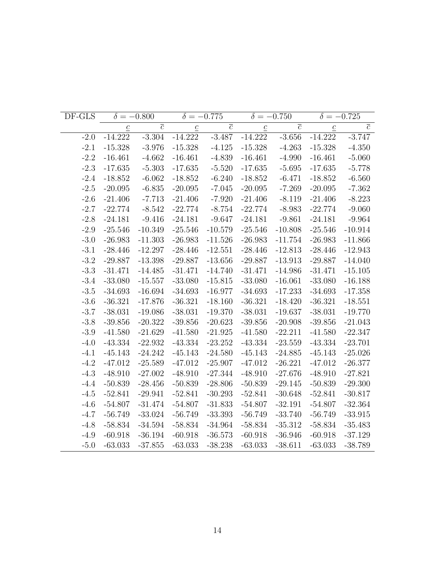| DF-GLS |                 | $\delta = -0.800$         |                 | $\delta = -0.775$ |                 | $\delta = -0.750$ |                 | $\delta = -0.725$ |
|--------|-----------------|---------------------------|-----------------|-------------------|-----------------|-------------------|-----------------|-------------------|
|        | $\underline{c}$ | $\overline{\overline{c}}$ | $\underline{c}$ | $\overline{c}$    | $\underline{c}$ | $\overline{c}$    | $\underline{c}$ | $\overline{c}$    |
| $-2.0$ | $-14.222$       | $-3.304$                  | $-14.222$       | $-3.487$          | $-14.222$       | $-3.656$          | $-14.222$       | $-3.747$          |
| $-2.1$ | $-15.328$       | $-3.976$                  | $-15.328$       | $-4.125$          | $-15.328$       | $-4.263$          | $-15.328$       | $-4.350$          |
| $-2.2$ | $-16.461$       | $-4.662$                  | $-16.461$       | $-4.839$          | $-16.461$       | $-4.990$          | $-16.461$       | $-5.060$          |
| $-2.3$ | $-17.635$       | $-5.303$                  | $-17.635$       | $-5.520$          | $-17.635$       | $-5.695$          | $-17.635$       | $-5.778$          |
| $-2.4$ | $-18.852$       | $-6.062$                  | $-18.852$       | $-6.240$          | $-18.852$       | $-6.471$          | $-18.852$       | $-6.560$          |
| $-2.5$ | $-20.095$       | $-6.835$                  | $-20.095$       | $-7.045$          | $-20.095$       | $-7.269$          | $-20.095$       | $-7.362$          |
| $-2.6$ | $-21.406$       | $-7.713$                  | $-21.406$       | $-7.920$          | $-21.406$       | $-8.119$          | $-21.406$       | $-8.223$          |
| $-2.7$ | $-22.774$       | $-8.542$                  | $-22.774$       | $-8.754$          | $-22.774$       | $-8.983$          | $-22.774$       | $-9.060$          |
| $-2.8$ | $-24.181$       | $-9.416$                  | $-24.181$       | $-9.647$          | $-24.181$       | $-9.861$          | $-24.181$       | $-9.964$          |
| $-2.9$ | $-25.546$       | $-10.349$                 | $-25.546$       | $-10.579$         | $-25.546$       | $-10.808$         | $-25.546$       | $-10.914$         |
| $-3.0$ | $-26.983$       | $-11.303$                 | $-26.983$       | $-11.526$         | $-26.983$       | $-11.754$         | $-26.983$       | $-11.866$         |
| $-3.1$ | $-28.446$       | $-12.297$                 | $-28.446$       | $-12.551$         | $-28.446$       | $-12.813$         | $-28.446$       | $-12.943$         |
| $-3.2$ | $-29.887$       | $-13.398$                 | $-29.887$       | $-13.656$         | $-29.887$       | $-13.913$         | $-29.887$       | $-14.040$         |
| $-3.3$ | $-31.471$       | $-14.485$                 | $-31.471$       | $-14.740$         | $-31.471$       | $-14.986$         | $-31.471$       | $-15.105$         |
| $-3.4$ | $-33.080$       | $-15.557$                 | $-33.080$       | $-15.815$         | $-33.080$       | $-16.061$         | $-33.080$       | $-16.188$         |
| $-3.5$ | $-34.693$       | $-16.694$                 | $-34.693$       | $-16.977$         | $-34.693$       | $-17.233$         | $-34.693$       | $-17.358$         |
| $-3.6$ | $-36.321$       | $-17.876$                 | $-36.321$       | $-18.160$         | $-36.321$       | $-18.420$         | $-36.321$       | $-18.551$         |
| $-3.7$ | $-38.031$       | $-19.086$                 | $-38.031$       | $-19.370$         | $-38.031$       | $-19.637$         | $-38.031$       | $-19.770$         |
| $-3.8$ | $-39.856$       | $-20.322$                 | $-39.856$       | $-20.623$         | $-39.856$       | $-20.908$         | $-39.856$       | $-21.043$         |
| $-3.9$ | $-41.580$       | $-21.629$                 | $-41.580$       | $-21.925$         | $-41.580$       | $-22.211$         | $-41.580$       | $-22.347$         |
| $-4.0$ | $-43.334$       | $-22.932$                 | $-43.334$       | $-23.252$         | $-43.334$       | $-23.559$         | $-43.334$       | $-23.701$         |
| $-4.1$ | $-45.143$       | $-24.242$                 | $-45.143$       | $-24.580$         | $-45.143$       | $-24.885$         | $-45.143$       | $-25.026$         |
| $-4.2$ | $-47.012$       | $-25.589$                 | $-47.012$       | $-25.907$         | $-47.012$       | $-26.221$         | $-47.012$       | $-26.377$         |
| $-4.3$ | $-48.910$       | $-27.002$                 | $-48.910$       | $-27.344$         | $-48.910$       | $-27.676$         | $-48.910$       | $-27.821$         |
| $-4.4$ | $-50.839$       | $-28.456$                 | $-50.839$       | $-28.806$         | $-50.839$       | $-29.145$         | $-50.839$       | $-29.300$         |
| $-4.5$ | $-52.841$       | $-29.941$                 | $-52.841$       | $-30.293$         | $-52.841$       | $-30.648$         | $-52.841$       | $-30.817$         |
| $-4.6$ | $-54.807$       | $-31.474$                 | $-54.807$       | $-31.833$         | $-54.807$       | $-32.191$         | $-54.807$       | $-32.364$         |
| $-4.7$ | $-56.749$       | $-33.024$                 | $-56.749$       | $-33.393$         | $-56.749$       | $-33.740$         | $-56.749$       | $-33.915$         |
| $-4.8$ | $-58.834$       | $-34.594$                 | $-58.834$       | $-34.964$         | $-58.834$       | $-35.312$         | $-58.834$       | $-35.483$         |
| $-4.9$ | $-60.918$       | $-36.194$                 | $-60.918$       | $-36.573$         | $-60.918$       | $-36.946$         | $-60.918$       | $-37.129$         |
| $-5.0$ | $-63.033$       | $-37.855$                 | $-63.033$       | $-38.238$         | $-63.033$       | $-38.611$         | $-63.033$       | $-38.789$         |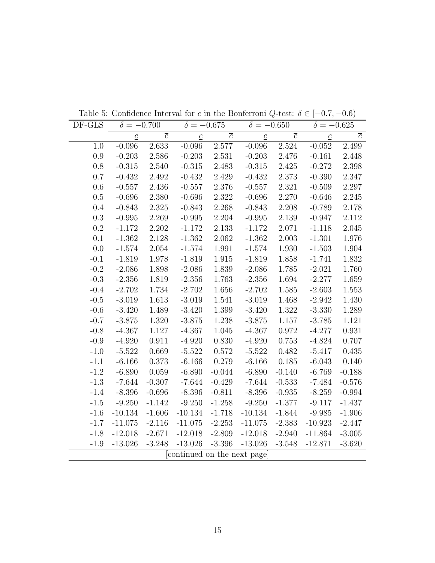| DF-GLS    | $\delta = -0.700$ |                | $\delta = -0.675$          |                | $\delta = -0.650$ |                | $\delta = -0.625$ |                |
|-----------|-------------------|----------------|----------------------------|----------------|-------------------|----------------|-------------------|----------------|
|           | $\underline{c}$   | $\overline{c}$ | $\underline{c}$            | $\overline{c}$ | $\underline{c}$   | $\overline{c}$ | $\underline{c}$   | $\overline{c}$ |
| 1.0       | $-0.096$          | 2.633          | $-0.096$                   | $2.577\,$      | $-0.096$          | $2.524\,$      | $-0.052$          | 2.499          |
| 0.9       | $-0.203$          | 2.586          | $-0.203$                   | 2.531          | $-0.203$          | 2.476          | $-0.161$          | 2.448          |
| 0.8       | $-0.315$          | 2.540          | $-0.315$                   | 2.483          | $-0.315$          | 2.425          | $-0.272$          | 2.398          |
| 0.7       | $-0.432$          | 2.492          | $-0.432$                   | 2.429          | $-0.432$          | 2.373          | $-0.390$          | 2.347          |
| 0.6       | $-0.557$          | 2.436          | $-0.557$                   | 2.376          | $-0.557$          | 2.321          | $-0.509$          | 2.297          |
| 0.5       | $-0.696$          | 2.380          | $-0.696$                   | 2.322          | $-0.696$          | 2.270          | $-0.646$          | 2.245          |
| 0.4       | $-0.843$          | 2.325          | $-0.843$                   | 2.268          | $-0.843$          | 2.208          | $-0.789$          | 2.178          |
| $\rm 0.3$ | $-0.995$          | 2.269          | $-0.995$                   | 2.204          | $-0.995$          | $2.139\,$      | $-0.947$          | 2.112          |
| $0.2\,$   | $-1.172$          | 2.202          | $-1.172$                   | 2.133          | $-1.172$          | 2.071          | $-1.118$          | 2.045          |
| 0.1       | $-1.362$          | 2.128          | $-1.362$                   | 2.062          | $-1.362$          | 2.003          | $-1.301$          | 1.976          |
| 0.0       | $-1.574$          | 2.054          | $-1.574$                   | 1.991          | $-1.574$          | 1.930          | $-1.503$          | 1.904          |
| $-0.1$    | $-1.819$          | 1.978          | $-1.819$                   | 1.915          | $-1.819$          | 1.858          | $-1.741$          | 1.832          |
| $-0.2$    | $-2.086$          | 1.898          | $-2.086$                   | 1.839          | $-2.086$          | 1.785          | $-2.021$          | 1.760          |
| $-0.3$    | $-2.356$          | 1.819          | $-2.356$                   | 1.763          | $-2.356$          | 1.694          | $-2.277$          | 1.659          |
| $-0.4$    | $-2.702$          | 1.734          | $-2.702$                   | 1.656          | $-2.702$          | 1.585          | $-2.603$          | 1.553          |
| $-0.5$    | $-3.019$          | 1.613          | $-3.019$                   | 1.541          | $-3.019$          | 1.468          | $-2.942$          | 1.430          |
| $-0.6$    | $-3.420$          | 1.489          | $-3.420$                   | 1.399          | $-3.420$          | 1.322          | $-3.330$          | 1.289          |
| $-0.7$    | $-3.875$          | 1.320          | $-3.875$                   | 1.238          | $-3.875$          | 1.157          | $-3.785$          | 1.121          |
| $-0.8$    | $-4.367$          | 1.127          | $-4.367$                   | 1.045          | $-4.367$          | 0.972          | $-4.277$          | 0.931          |
| $-0.9$    | $-4.920$          | 0.911          | $-4.920$                   | 0.830          | $-4.920$          | 0.753          | $-4.824$          | 0.707          |
| $-1.0$    | $-5.522$          | 0.669          | $-5.522$                   | 0.572          | $-5.522$          | 0.482          | $-5.417$          | 0.435          |
| $-1.1$    | $-6.166$          | 0.373          | $-6.166$                   | 0.279          | $-6.166$          | 0.185          | $-6.043$          | 0.140          |
| $-1.2$    | $-6.890$          | 0.059          | $-6.890$                   | $-0.044$       | $-6.890$          | $-0.140$       | $-6.769$          | $-0.188$       |
| $-1.3$    | $-7.644$          | $-0.307$       | $-7.644$                   | $-0.429$       | $-7.644$          | $-0.533$       | $-7.484$          | $-0.576$       |
| $-1.4$    | $-8.396$          | $-0.696$       | $-8.396$                   | $-0.811$       | $-8.396$          | $-0.935$       | $-8.259$          | $-0.994$       |
| $-1.5$    | $-9.250$          | $-1.142$       | $-9.250$                   | $-1.258$       | $-9.250$          | $-1.377$       | $-9.117$          | $-1.437$       |
| $-1.6$    | $-10.134$         | $-1.606$       | $-10.134$                  | $-1.718$       | $-10.134$         | $-1.844$       | $-9.985$          | $-1.906$       |
| $-1.7$    | $-11.075$         | $-2.116$       | $-11.075$                  | $-2.253$       | $-11.075$         | $-2.383$       | $-10.923$         | $-2.447$       |
| $-1.8$    | $-12.018$         | $-2.671$       | $-12.018$                  | $-2.809$       | $-12.018$         | $-2.940$       | $-11.864$         | $-3.005$       |
| $-1.9$    | $-13.026$         | $-3.248$       | $-13.026$                  | $-3.396$       | $-13.026$         | $-3.548$       | $-12.871$         | $-3.620$       |
|           |                   |                | continued on the next page |                |                   |                |                   |                |
|           |                   |                |                            |                |                   |                |                   |                |

Table 5: Confidence Interval for c in the Bonferroni Q-test:  $\delta \in [-0.7, -0.6)$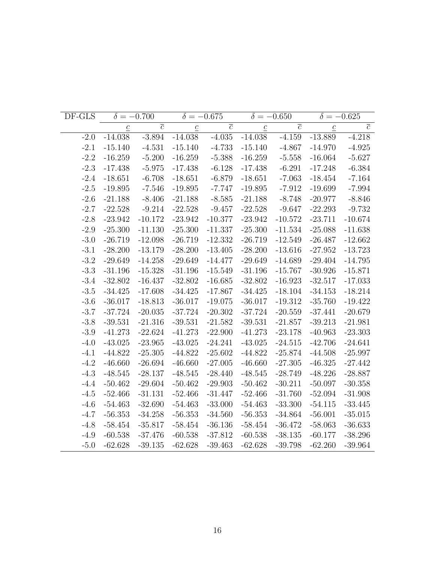| DF-GLS |                 | $\delta = -0.700$ |                 | $\delta = -0.675$ |                 | $\delta = -0.650$ |                 | $\delta = -0.625$ |
|--------|-----------------|-------------------|-----------------|-------------------|-----------------|-------------------|-----------------|-------------------|
|        | $\underline{c}$ | $\overline{c}$    | $\underline{c}$ | $\overline{c}$    | $\underline{c}$ | $\overline{c}$    | $\underline{c}$ | $\overline{c}$    |
| $-2.0$ | $-14.038$       | $-3.894$          | $-14.038$       | $-4.035$          | $-14.038$       | $-4.159$          | $-13.889$       | $-4.218$          |
| $-2.1$ | $-15.140$       | $-4.531$          | $-15.140$       | $-4.733$          | $-15.140$       | $-4.867$          | $-14.970$       | $-4.925$          |
| $-2.2$ | $-16.259$       | $-5.200$          | $-16.259$       | $-5.388$          | $-16.259$       | $-5.558$          | $-16.064$       | $-5.627$          |
| $-2.3$ | $-17.438$       | $-5.975$          | $-17.438$       | $-6.128$          | $-17.438$       | $-6.291$          | $-17.248$       | $-6.384$          |
| $-2.4$ | $-18.651$       | $-6.708$          | $-18.651$       | $-6.879$          | $-18.651$       | $-7.063$          | $-18.454$       | $-7.164$          |
| $-2.5$ | $-19.895$       | $-7.546$          | $-19.895$       | $-7.747$          | $-19.895$       | $-7.912$          | $-19.699$       | $-7.994$          |
| $-2.6$ | $-21.188$       | $-8.406$          | $-21.188$       | $-8.585$          | $-21.188$       | $-8.748$          | $-20.977$       | $-8.846$          |
| $-2.7$ | $-22.528$       | $-9.214$          | $-22.528$       | $-9.457$          | $-22.528$       | $-9.647$          | $-22.293$       | $-9.732$          |
| $-2.8$ | $-23.942$       | $-10.172$         | $-23.942$       | $-10.377$         | $-23.942$       | $-10.572$         | $-23.711$       | $-10.674$         |
| $-2.9$ | $-25.300$       | $-11.130$         | $-25.300$       | $-11.337$         | $-25.300$       | $-11.534$         | $-25.088$       | $-11.638$         |
| $-3.0$ | $-26.719$       | $-12.098$         | $-26.719$       | $-12.332$         | $-26.719$       | $-12.549$         | $-26.487$       | $-12.662$         |
| $-3.1$ | $-28.200$       | $-13.179$         | $-28.200$       | $-13.405$         | $-28.200$       | $-13.616$         | $-27.952$       | $-13.723$         |
| $-3.2$ | $-29.649$       | $-14.258$         | $-29.649$       | $-14.477$         | $-29.649$       | $-14.689$         | $-29.404$       | $-14.795$         |
| $-3.3$ | $-31.196$       | $-15.328$         | $-31.196$       | $-15.549$         | $-31.196$       | $-15.767$         | $-30.926$       | $-15.871$         |
| $-3.4$ | $-32.802$       | $-16.437$         | $-32.802$       | $-16.685$         | $-32.802$       | $-16.923$         | $-32.517$       | $-17.033$         |
| $-3.5$ | $-34.425$       | $-17.608$         | $-34.425$       | $-17.867$         | $-34.425$       | $-18.104$         | $-34.153$       | $-18.214$         |
| $-3.6$ | $-36.017$       | $-18.813$         | $-36.017$       | $-19.075$         | $-36.017$       | $-19.312$         | $-35.760$       | $-19.422$         |
| $-3.7$ | $-37.724$       | $-20.035$         | $-37.724$       | $-20.302$         | $-37.724$       | $-20.559$         | $-37.441$       | $-20.679$         |
| $-3.8$ | $-39.531$       | $-21.316$         | $-39.531$       | $-21.582$         | $-39.531$       | $-21.857$         | $-39.213$       | $-21.981$         |
| $-3.9$ | $-41.273$       | $-22.624$         | $-41.273$       | $-22.900$         | $-41.273$       | $-23.178$         | $-40.963$       | $-23.303$         |
| $-4.0$ | $-43.025$       | $-23.965$         | $-43.025$       | $-24.241$         | $-43.025$       | $-24.515$         | $-42.706$       | $-24.641$         |
| $-4.1$ | $-44.822$       | $-25.305$         | $-44.822$       | $-25.602$         | $-44.822$       | $-25.874$         | $-44.508$       | $-25.997$         |
| $-4.2$ | $-46.660$       | $-26.694$         | $-46.660$       | $-27.005$         | $-46.660$       | $-27.305$         | $-46.325$       | $-27.442$         |
| $-4.3$ | $-48.545$       | $-28.137$         | $-48.545$       | $-28.440$         | $-48.545$       | $-28.749$         | $-48.226$       | $-28.887$         |
| $-4.4$ | $-50.462$       | $-29.604$         | $-50.462$       | $-29.903$         | $-50.462$       | $-30.211$         | $-50.097$       | $-30.358$         |
| $-4.5$ | $-52.466$       | $-31.131$         | $-52.466$       | $-31.447$         | $-52.466$       | $-31.760$         | $-52.094$       | $-31.908$         |
| $-4.6$ | $-54.463$       | $-32.690$         | $-54.463$       | $-33.000$         | $-54.463$       | $-33.300$         | $-54.115$       | $-33.445$         |
| $-4.7$ | $-56.353$       | $-34.258$         | $-56.353$       | $-34.560$         | $-56.353$       | $-34.864$         | $-56.001$       | $-35.015$         |
| $-4.8$ | $-58.454$       | $-35.817$         | $-58.454$       | $-36.136$         | $-58.454$       | $-36.472$         | $-58.063$       | $-36.633$         |
| $-4.9$ | $-60.538$       | $-37.476$         | $-60.538$       | $-37.812$         | $-60.538$       | $-38.135$         | $-60.177$       | $-38.296$         |
| $-5.0$ | $-62.628$       | $-39.135$         | $-62.628$       | $-39.463$         | $-62.628$       | $-39.798$         | $-62.260$       | $-39.964$         |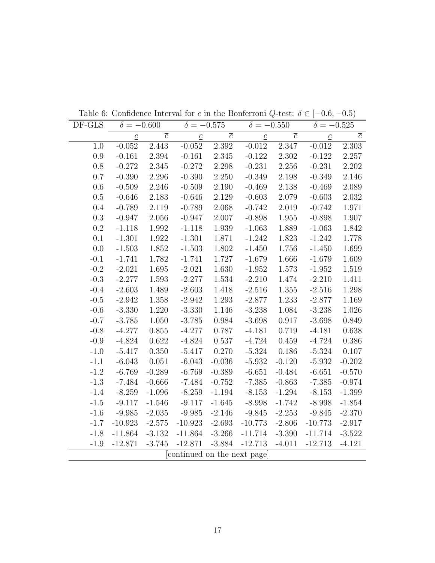| DF-GLS    | $\delta = -0.600$ |                | $\delta = -0.575$          |                | $\delta = -0.550$ |                | $\delta = -0.525$         |                |
|-----------|-------------------|----------------|----------------------------|----------------|-------------------|----------------|---------------------------|----------------|
|           | $\underline{c}$   | $\overline{c}$ | $\underline{\mathcal{C}}$  | $\overline{c}$ | $\underline{c}$   | $\overline{c}$ | $\underline{\mathcal{C}}$ | $\overline{c}$ |
| 1.0       | $-0.052$          | 2.443          | $-0.052$                   | 2.392          | $-0.012$          | 2.347          | $-0.012$                  | 2.303          |
| 0.9       | $-0.161$          | $2.394\,$      | $-0.161$                   | 2.345          | $-0.122$          | 2.302          | $-0.122$                  | 2.257          |
| 0.8       | $-0.272$          | $2.345\,$      | $-0.272$                   | $2.298\,$      | $-0.231$          | $2.256\,$      | $-0.231$                  | 2.202          |
| 0.7       | $-0.390$          | 2.296          | $-0.390$                   | 2.250          | $-0.349$          | 2.198          | $-0.349$                  | 2.146          |
| 0.6       | $-0.509$          | 2.246          | $-0.509$                   | 2.190          | $-0.469$          | 2.138          | $-0.469$                  | 2.089          |
| $0.5\,$   | $-0.646$          | 2.183          | $-0.646$                   | 2.129          | $-0.603$          | 2.079          | $-0.603$                  | 2.032          |
| 0.4       | $-0.789$          | $2.119\,$      | $-0.789$                   | $2.068\,$      | $-0.742$          | 2.019          | $-0.742$                  | 1.971          |
| $\rm 0.3$ | $-0.947$          | 2.056          | $-0.947$                   | 2.007          | $-0.898$          | $1.955\,$      | $-0.898$                  | 1.907          |
| $0.2\,$   | $-1.118$          | 1.992          | $-1.118$                   | 1.939          | $-1.063$          | 1.889          | $-1.063$                  | 1.842          |
| $0.1\,$   | $-1.301$          | 1.922          | $-1.301$                   | 1.871          | $-1.242$          | 1.823          | $-1.242$                  | 1.778          |
| 0.0       | $-1.503$          | 1.852          | $-1.503$                   | 1.802          | $-1.450$          | 1.756          | $-1.450$                  | 1.699          |
| $-0.1$    | $-1.741$          | 1.782          | $-1.741$                   | 1.727          | $-1.679$          | 1.666          | $-1.679$                  | 1.609          |
| $-0.2$    | $-2.021$          | 1.695          | $-2.021$                   | 1.630          | $-1.952$          | 1.573          | $-1.952$                  | 1.519          |
| $-0.3$    | $-2.277$          | 1.593          | $-2.277$                   | 1.534          | $-2.210$          | 1.474          | $-2.210$                  | 1.411          |
| $-0.4$    | $-2.603$          | 1.489          | $-2.603$                   | 1.418          | $-2.516$          | 1.355          | $-2.516$                  | 1.298          |
| $-0.5$    | $-2.942$          | $1.358\,$      | $-2.942$                   | 1.293          | $-2.877$          | 1.233          | $-2.877$                  | 1.169          |
| $-0.6$    | $-3.330$          | 1.220          | $-3.330$                   | 1.146          | $-3.238$          | 1.084          | $-3.238$                  | 1.026          |
| $-0.7$    | $-3.785$          | 1.050          | $-3.785$                   | 0.984          | $-3.698$          | 0.917          | $-3.698$                  | 0.849          |
| $-0.8$    | $-4.277$          | 0.855          | $-4.277$                   | 0.787          | $-4.181$          | 0.719          | $-4.181$                  | 0.638          |
| $-0.9$    | $-4.824$          | 0.622          | $-4.824$                   | 0.537          | $-4.724$          | 0.459          | $-4.724$                  | 0.386          |
| $-1.0$    | $-5.417$          | 0.350          | $-5.417$                   | 0.270          | $-5.324$          | 0.186          | $-5.324$                  | 0.107          |
| $-1.1$    | $-6.043$          | 0.051          | $-6.043$                   | $-0.036$       | $-5.932$          | $-0.120$       | $-5.932$                  | $-0.202$       |
| $-1.2$    | $-6.769$          | $-0.289$       | $-6.769$                   | $-0.389$       | $-6.651$          | $-0.484$       | $-6.651$                  | $-0.570$       |
| $-1.3$    | $-7.484$          | $-0.666$       | $-7.484$                   | $-0.752$       | $-7.385$          | $-0.863$       | $-7.385$                  | $-0.974$       |
| $-1.4$    | $-8.259$          | $-1.096$       | $-8.259$                   | $-1.194$       | $-8.153$          | $-1.294$       | $-8.153$                  | $-1.399$       |
| $-1.5$    | $-9.117$          | $-1.546$       | $-9.117$                   | $-1.645$       | $-8.998$          | $-1.742$       | $-8.998$                  | $-1.854$       |
| $-1.6$    | $-9.985$          | $-2.035$       | $-9.985$                   | $-2.146$       | $-9.845$          | $-2.253$       | $-9.845$                  | $-2.370$       |
| $-1.7$    | $-10.923$         | $-2.575$       | $-10.923$                  | $-2.693$       | $-10.773$         | $-2.806$       | $-10.773$                 | $-2.917$       |
| $-1.8$    | $-11.864$         | $-3.132$       | $-11.864$                  | $-3.266$       | $-11.714$         | $-3.390$       | $-11.714$                 | $-3.522$       |
| $-1.9$    | $-12.871$         | $-3.745$       | $-12.871$                  | $-3.884$       | $-12.713$         | $-4.011$       | $-12.713$                 | $-4.121$       |
|           |                   |                | continued on the next page |                |                   |                |                           |                |

Table 6: Confidence Interval for c in the Bonferroni Q-test:  $\delta \in [-0.6, -0.5)$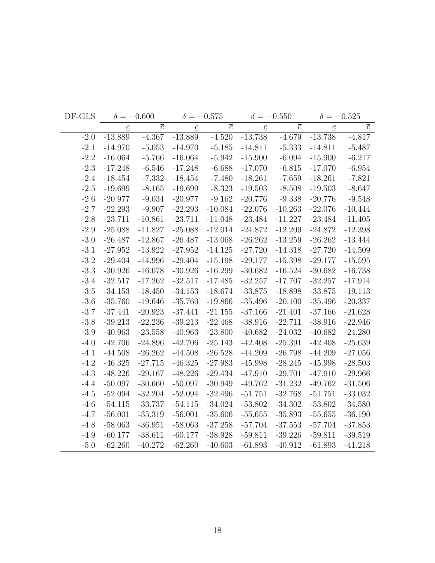| DF-GLS |                 | $\delta = -0.600$         |                 | $\delta = -0.575$ |                 | $\delta = -0.550$ |                 | $\delta = -0.525$ |
|--------|-----------------|---------------------------|-----------------|-------------------|-----------------|-------------------|-----------------|-------------------|
|        | $\underline{c}$ | $\overline{\overline{c}}$ | $\underline{c}$ | $\overline{c}$    | $\underline{c}$ | $\overline{c}$    | $\underline{c}$ | $\overline{c}$    |
| $-2.0$ | $-13.889$       | $-4.367$                  | $-13.889$       | $-4.520$          | $-13.738$       | $-4.679$          | $-13.738$       | $-4.817$          |
| $-2.1$ | $-14.970$       | $-5.053$                  | $-14.970$       | $-5.185$          | $-14.811$       | $-5.333$          | $-14.811$       | $-5.487$          |
| $-2.2$ | $-16.064$       | $-5.766$                  | $-16.064$       | $-5.942$          | $-15.900$       | $-6.094$          | $-15.900$       | $-6.217$          |
| $-2.3$ | $-17.248$       | $-6.546$                  | $-17.248$       | $-6.688$          | $-17.070$       | $-6.815$          | $-17.070$       | $-6.954$          |
| $-2.4$ | $-18.454$       | $-7.332$                  | $-18.454$       | $-7.480$          | $-18.261$       | $-7.659$          | $-18.261$       | $-7.821$          |
| $-2.5$ | $-19.699$       | $-8.165$                  | $-19.699$       | $-8.323$          | $-19.503$       | $-8.508$          | $-19.503$       | $-8.647$          |
| $-2.6$ | $-20.977$       | $-9.034$                  | $-20.977$       | $-9.162$          | $-20.776$       | $-9.338$          | $-20.776$       | $-9.548$          |
| $-2.7$ | $-22.293$       | $-9.907$                  | $-22.293$       | $-10.084$         | $-22.076$       | $-10.263$         | $-22.076$       | $-10.444$         |
| $-2.8$ | $-23.711$       | $-10.861$                 | $-23.711$       | $-11.048$         | $-23.484$       | $-11.227$         | $-23.484$       | $-11.405$         |
| $-2.9$ | $-25.088$       | $-11.827$                 | $-25.088$       | $-12.014$         | $-24.872$       | $-12.209$         | $-24.872$       | $-12.398$         |
| $-3.0$ | $-26.487$       | $-12.867$                 | $-26.487$       | $-13.068$         | $-26.262$       | $-13.259$         | $-26.262$       | $-13.444$         |
| $-3.1$ | $-27.952$       | $-13.922$                 | $-27.952$       | $-14.125$         | $-27.720$       | $-14.318$         | $-27.720$       | $-14.509$         |
| $-3.2$ | $-29.404$       | $-14.996$                 | $-29.404$       | $-15.198$         | $-29.177$       | $-15.398$         | $-29.177$       | $-15.595$         |
| $-3.3$ | $-30.926$       | $-16.078$                 | $-30.926$       | $-16.299$         | $-30.682$       | $-16.524$         | $-30.682$       | $-16.738$         |
| $-3.4$ | $-32.517$       | $-17.262$                 | $-32.517$       | $-17.485$         | $-32.257$       | $-17.707$         | $-32.257$       | $-17.914$         |
| $-3.5$ | $-34.153$       | $-18.450$                 | $-34.153$       | $-18.674$         | $-33.875$       | $-18.898$         | $-33.875$       | $-19.113$         |
| $-3.6$ | $-35.760$       | $-19.646$                 | $-35.760$       | $-19.866$         | $-35.496$       | $-20.100$         | $-35.496$       | $-20.337$         |
| $-3.7$ | $-37.441$       | $-20.923$                 | $-37.441$       | $-21.155$         | $-37.166$       | $-21.401$         | $-37.166$       | $-21.628$         |
| $-3.8$ | $-39.213$       | $-22.236$                 | $-39.213$       | $-22.468$         | $-38.916$       | $-22.711$         | $-38.916$       | $-22.946$         |
| $-3.9$ | $-40.963$       | $-23.558$                 | $-40.963$       | $-23.800$         | $-40.682$       | $-24.032$         | $-40.682$       | $-24.280$         |
| $-4.0$ | $-42.706$       | $-24.896$                 | $-42.706$       | $-25.143$         | $-42.408$       | $-25.391$         | $-42.408$       | $-25.639$         |
| $-4.1$ | $-44.508$       | $-26.262$                 | $-44.508$       | $-26.528$         | $-44.209$       | $-26.798$         | $-44.209$       | $-27.056$         |
| $-4.2$ | $-46.325$       | $-27.715$                 | $-46.325$       | $-27.983$         | $-45.998$       | $-28.245$         | $-45.998$       | $-28.503$         |
| $-4.3$ | $-48.226$       | $-29.167$                 | $-48.226$       | $-29.434$         | $-47.910$       | $-29.701$         | $-47.910$       | $-29.966$         |
| $-4.4$ | $-50.097$       | $-30.660$                 | $-50.097$       | $-30.949$         | $-49.762$       | $-31.232$         | $-49.762$       | $-31.506$         |
| $-4.5$ | $-52.094$       | $-32.204$                 | $-52.094$       | $-32.496$         | $-51.751$       | $-32.768$         | $-51.751$       | $-33.032$         |
| $-4.6$ | $-54.115$       | $-33.737$                 | $-54.115$       | $-34.024$         | $-53.802$       | $-34.302$         | $-53.802$       | $-34.580$         |
| $-4.7$ | $-56.001$       | $-35.319$                 | $-56.001$       | $-35.606$         | $-55.655$       | $-35.893$         | $-55.655$       | $-36.190$         |
| $-4.8$ | $-58.063$       | $-36.951$                 | $-58.063$       | $-37.258$         | $-57.704$       | $-37.553$         | $-57.704$       | $-37.853$         |
| $-4.9$ | $-60.177$       | $-38.611$                 | $-60.177$       | $-38.928$         | $-59.811$       | $-39.226$         | $-59.811$       | $-39.519$         |
| $-5.0$ | $-62.260$       | $-40.272$                 | $-62.260$       | $-40.603$         | $-61.893$       | $-40.912$         | $-61.893$       | $-41.218$         |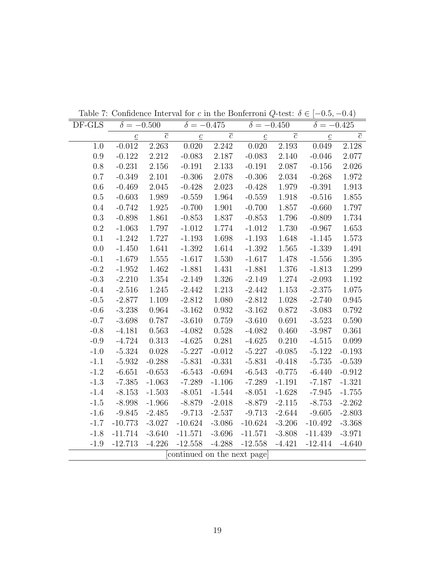| DF-GLS    | $\delta = -0.500$ |                | $\delta = -0.475$          |                | $\delta = -0.450$ |                | $\delta = -0.425$ |                |
|-----------|-------------------|----------------|----------------------------|----------------|-------------------|----------------|-------------------|----------------|
|           | $\underline{c}$   | $\overline{c}$ | $\underline{c}$            | $\overline{c}$ | $\underline{c}$   | $\overline{c}$ | $\underline{c}$   | $\overline{c}$ |
| 1.0       | $-0.012$          | 2.263          | 0.020                      | 2.242          | 0.020             | 2.193          | 0.049             | 2.128          |
| 0.9       | $-0.122$          | 2.212          | $-0.083$                   | 2.187          | $-0.083$          | $2.140\,$      | $-0.046$          | 2.077          |
| 0.8       | $-0.231$          | $2.156\,$      | $-0.191$                   | $2.133\,$      | $-0.191$          | $2.087\,$      | $-0.156$          | 2.026          |
| 0.7       | $-0.349$          | 2.101          | $-0.306$                   | 2.078          | $-0.306$          | 2.034          | $-0.268$          | 1.972          |
| 0.6       | $-0.469$          | 2.045          | $-0.428$                   | 2.023          | $-0.428$          | 1.979          | $-0.391$          | 1.913          |
| $0.5\,$   | $-0.603$          | 1.989          | $-0.559$                   | 1.964          | $-0.559$          | 1.918          | $-0.516$          | 1.855          |
| 0.4       | $-0.742$          | $1.925\,$      | $-0.700$                   | $1.901\,$      | $-0.700$          | 1.857          | $-0.660$          | 1.797          |
| $\rm 0.3$ | $-0.898$          | 1.861          | $-0.853$                   | 1.837          | $-0.853$          | 1.796          | $-0.809$          | 1.734          |
| $0.2\,$   | $-1.063$          | 1.797          | $-1.012$                   | 1.774          | $-1.012$          | 1.730          | $-0.967$          | 1.653          |
| $0.1\,$   | $-1.242$          | 1.727          | $-1.193$                   | 1.698          | $-1.193$          | 1.648          | $-1.145$          | 1.573          |
| 0.0       | $-1.450$          | 1.641          | $-1.392$                   | 1.614          | $-1.392$          | 1.565          | $-1.339$          | 1.491          |
| $-0.1$    | $-1.679$          | $1.555\,$      | $-1.617$                   | $1.530\,$      | $-1.617$          | 1.478          | $-1.556$          | $1.395\,$      |
| $-0.2$    | $-1.952$          | 1.462          | $-1.881$                   | 1.431          | $-1.881$          | 1.376          | $-1.813$          | 1.299          |
| $-0.3$    | $-2.210$          | 1.354          | $-2.149$                   | $1.326\,$      | $-2.149$          | 1.274          | $-2.093$          | 1.192          |
| $-0.4$    | $-2.516$          | 1.245          | $-2.442$                   | 1.213          | $-2.442$          | 1.153          | $-2.375$          | 1.075          |
| $-0.5$    | $-2.877$          | 1.109          | $-2.812$                   | $1.080\,$      | $-2.812$          | 1.028          | $-2.740$          | 0.945          |
| $-0.6$    | $-3.238$          | 0.964          | $-3.162$                   | 0.932          | $-3.162$          | 0.872          | $-3.083$          | 0.792          |
| $-0.7$    | $-3.698$          | 0.787          | $-3.610$                   | 0.759          | $-3.610$          | 0.691          | $-3.523$          | 0.590          |
| $-0.8$    | $-4.181$          | 0.563          | $-4.082$                   | 0.528          | $-4.082$          | 0.460          | $-3.987$          | 0.361          |
| $-0.9$    | $-4.724$          | 0.313          | $-4.625$                   | 0.281          | $-4.625$          | 0.210          | $-4.515$          | 0.099          |
| $-1.0$    | $-5.324$          | 0.028          | $-5.227$                   | $-0.012$       | $-5.227$          | $-0.085$       | $-5.122$          | $-0.193$       |
| $-1.1$    | $-5.932$          | $-0.288$       | $-5.831$                   | $-0.331$       | $-5.831$          | $-0.418$       | $-5.735$          | $-0.539$       |
| $-1.2$    | $-6.651$          | $-0.653$       | $-6.543$                   | $-0.694$       | $-6.543$          | $-0.775$       | $-6.440$          | $-0.912$       |
| $-1.3$    | $-7.385$          | $-1.063$       | $-7.289$                   | $-1.106$       | $-7.289$          | $-1.191$       | $-7.187$          | $-1.321$       |
| $-1.4$    | $-8.153$          | $-1.503$       | $-8.051$                   | $-1.544$       | $-8.051$          | $-1.628$       | $-7.945$          | $-1.755$       |
| $-1.5$    | $-8.998$          | $-1.966$       | $-8.879$                   | $-2.018$       | $-8.879$          | $-2.115$       | $-8.753$          | $-2.262$       |
| $-1.6$    | $-9.845$          | $-2.485$       | $-9.713$                   | $-2.537$       | $-9.713$          | $-2.644$       | $-9.605$          | $-2.803$       |
| $-1.7$    | $-10.773$         | $-3.027$       | $-10.624$                  | $-3.086$       | $-10.624$         | $-3.206$       | $-10.492$         | $-3.368$       |
| $-1.8$    | $-11.714$         | $-3.640$       | $-11.571$                  | $-3.696$       | $-11.571$         | $-3.808$       | $-11.439$         | $-3.971$       |
| $-1.9$    | $-12.713$         | $-4.226$       | $-12.558$                  | $-4.288$       | $-12.558$         | $-4.421$       | $-12.414$         | $-4.640$       |
|           |                   |                | continued on the next page |                |                   |                |                   |                |

Table 7: Confidence Interval for c in the Bonferroni Q-test:  $\delta \in [-0.5, -0.4)$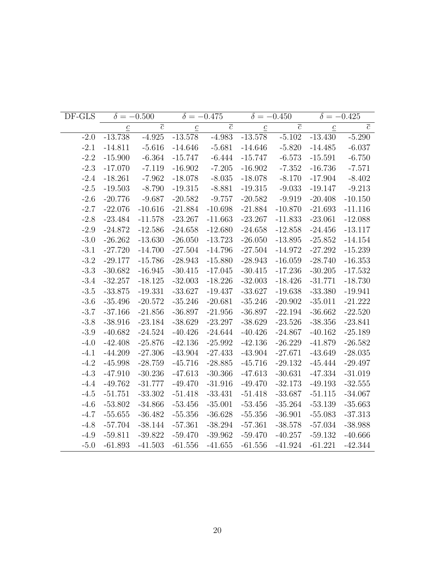| DF-GLS |                 | $\delta = -0.500$ |                 | $\delta = -0.475$ |                 | $\delta = -0.450$ | $\delta = -0.425$ |                |
|--------|-----------------|-------------------|-----------------|-------------------|-----------------|-------------------|-------------------|----------------|
|        | $\underline{c}$ | $\overline{c}$    | $\underline{c}$ | $\overline{c}$    | $\underline{c}$ | $\overline{c}$    | $\underline{c}$   | $\overline{c}$ |
| $-2.0$ | $-13.738$       | $-4.925$          | $-13.578$       | $-4.983$          | $-13.578$       | $-5.102$          | $-13.430$         | $-5.290$       |
| $-2.1$ | $-14.811$       | $-5.616$          | $-14.646$       | $-5.681$          | $-14.646$       | $-5.820$          | $-14.485$         | $-6.037$       |
| $-2.2$ | $-15.900$       | $-6.364$          | $-15.747$       | $-6.444$          | $-15.747$       | $-6.573$          | $-15.591$         | $-6.750$       |
| $-2.3$ | $-17.070$       | $-7.119$          | $-16.902$       | $-7.205$          | $-16.902$       | $-7.352$          | $-16.736$         | $-7.571$       |
| $-2.4$ | $-18.261$       | $-7.962$          | $-18.078$       | $-8.035$          | $-18.078$       | $-8.170$          | $-17.904$         | $-8.402$       |
| $-2.5$ | $-19.503$       | $-8.790$          | $-19.315$       | $-8.881$          | $-19.315$       | $-9.033$          | $-19.147$         | $-9.213$       |
| $-2.6$ | $-20.776$       | $-9.687$          | $-20.582$       | $-9.757$          | $-20.582$       | $-9.919$          | $-20.408$         | $-10.150$      |
| $-2.7$ | $-22.076$       | $-10.616$         | $-21.884$       | $-10.698$         | $-21.884$       | $-10.870$         | $-21.693$         | $-11.116$      |
| $-2.8$ | $-23.484$       | $-11.578$         | $-23.267$       | $-11.663$         | $-23.267$       | $-11.833$         | $-23.061$         | $-12.088$      |
| $-2.9$ | $-24.872$       | $-12.586$         | $-24.658$       | $-12.680$         | $-24.658$       | $-12.858$         | $-24.456$         | $-13.117$      |
| $-3.0$ | $-26.262$       | $-13.630$         | $-26.050$       | $-13.723$         | $-26.050$       | $-13.895$         | $-25.852$         | $-14.154$      |
| $-3.1$ | $-27.720$       | $-14.700$         | $-27.504$       | $-14.796$         | $-27.504$       | $-14.972$         | $-27.292$         | $-15.239$      |
| $-3.2$ | $-29.177$       | $-15.786$         | $-28.943$       | $-15.880$         | $-28.943$       | $-16.059$         | $-28.740$         | $-16.353$      |
| $-3.3$ | $-30.682$       | $-16.945$         | $-30.415$       | $-17.045$         | $-30.415$       | $-17.236$         | $-30.205$         | $-17.532$      |
| $-3.4$ | $-32.257$       | $-18.125$         | $-32.003$       | $-18.226$         | $-32.003$       | $-18.426$         | $-31.771$         | $-18.730$      |
| $-3.5$ | $-33.875$       | $-19.331$         | $-33.627$       | $-19.437$         | $-33.627$       | $-19.638$         | $-33.380$         | $-19.941$      |
| $-3.6$ | $-35.496$       | $-20.572$         | $-35.246$       | $-20.681$         | $-35.246$       | $-20.902$         | $-35.011$         | $-21.222$      |
| $-3.7$ | $-37.166$       | $-21.856$         | $-36.897$       | $-21.956$         | $-36.897$       | $-22.194$         | $-36.662$         | $-22.520$      |
| $-3.8$ | $-38.916$       | $-23.184$         | $-38.629$       | $-23.297$         | $-38.629$       | $-23.526$         | $-38.356$         | $-23.841$      |
| $-3.9$ | $-40.682$       | $-24.524$         | $-40.426$       | $-24.644$         | $-40.426$       | $-24.867$         | $-40.162$         | $-25.189$      |
| $-4.0$ | $-42.408$       | $-25.876$         | $-42.136$       | $-25.992$         | $-42.136$       | $-26.229$         | $-41.879$         | $-26.582$      |
| $-4.1$ | $-44.209$       | $-27.306$         | $-43.904$       | $-27.433$         | $-43.904$       | $-27.671$         | $-43.649$         | $-28.035$      |
| $-4.2$ | $-45.998$       | $-28.759$         | $-45.716$       | $-28.885$         | $-45.716$       | $-29.132$         | $-45.444$         | $-29.497$      |
| $-4.3$ | $-47.910$       | $-30.236$         | $-47.613$       | $-30.366$         | $-47.613$       | $-30.631$         | $-47.334$         | $-31.019$      |
| $-4.4$ | $-49.762$       | $-31.777$         | $-49.470$       | $-31.916$         | $-49.470$       | $-32.173$         | $-49.193$         | $-32.555$      |
| $-4.5$ | $-51.751$       | $-33.302$         | $-51.418$       | $-33.431$         | $-51.418$       | $-33.687$         | $-51.115$         | $-34.067$      |
| $-4.6$ | $-53.802$       | $-34.866$         | $-53.456$       | $-35.001$         | $-53.456$       | $-35.264$         | $-53.139$         | $-35.663$      |
| $-4.7$ | $-55.655$       | $-36.482$         | $-55.356$       | $-36.628$         | $-55.356$       | $-36.901$         | $-55.083$         | $-37.313$      |
| $-4.8$ | $-57.704$       | $-38.144$         | $-57.361$       | $-38.294$         | $-57.361$       | $-38.578$         | $-57.034$         | $-38.988$      |
| $-4.9$ | $-59.811$       | $-39.822$         | $-59.470$       | $-39.962$         | $-59.470$       | $-40.257$         | $-59.132$         | $-40.666$      |
| $-5.0$ | $-61.893$       | $-41.503$         | $-61.556$       | $-41.655$         | $-61.556$       | $-41.924$         | $-61.221$         | $-42.344$      |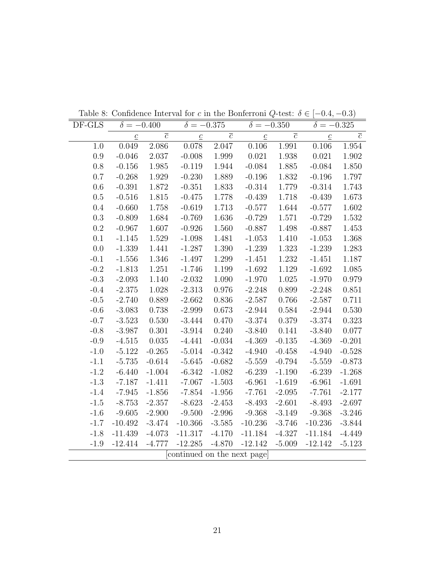| DF-GLS | $\delta = -0.400$ |                | $\delta = -0.375$          |                | $\delta = -0.350$ |                | $\delta = -0.325$ |                |
|--------|-------------------|----------------|----------------------------|----------------|-------------------|----------------|-------------------|----------------|
|        | $\underline{c}$   | $\overline{c}$ | $\underline{c}$            | $\overline{c}$ | $\underline{c}$   | $\overline{c}$ | $\underline{c}$   | $\overline{c}$ |
| 1.0    | 0.049             | $2.086\,$      | 0.078                      | 2.047          | 0.106             | 1.991          | 0.106             | 1.954          |
| 0.9    | $-0.046$          | 2.037          | $-0.008$                   | 1.999          | 0.021             | 1.938          | 0.021             | 1.902          |
| 0.8    | $-0.156$          | $1.985\,$      | $-0.119$                   | 1.944          | $-0.084$          | 1.885          | $-0.084$          | 1.850          |
| 0.7    | $-0.268$          | 1.929          | $-0.230$                   | 1.889          | $-0.196$          | 1.832          | $-0.196$          | 1.797          |
| 0.6    | $-0.391$          | 1.872          | $-0.351$                   | 1.833          | $-0.314$          | 1.779          | $-0.314$          | 1.743          |
| 0.5    | $-0.516$          | 1.815          | $-0.475$                   | 1.778          | $-0.439$          | 1.718          | $-0.439$          | 1.673          |
| 0.4    | $-0.660$          | 1.758          | $-0.619$                   | 1.713          | $-0.577$          | 1.644          | $-0.577$          | 1.602          |
| 0.3    | $-0.809$          | 1.684          | $-0.769$                   | 1.636          | $-0.729$          | 1.571          | $-0.729$          | 1.532          |
| 0.2    | $-0.967$          | 1.607          | $-0.926$                   | 1.560          | $-0.887$          | 1.498          | $-0.887$          | 1.453          |
| 0.1    | $-1.145$          | 1.529          | $-1.098$                   | 1.481          | $-1.053$          | 1.410          | $-1.053$          | 1.368          |
| 0.0    | $-1.339$          | 1.441          | $-1.287$                   | $1.390\,$      | $-1.239$          | 1.323          | $-1.239$          | 1.283          |
| $-0.1$ | $-1.556$          | 1.346          | $-1.497$                   | 1.299          | $-1.451$          | 1.232          | $-1.451$          | 1.187          |
| $-0.2$ | $-1.813$          | 1.251          | $-1.746$                   | 1.199          | $-1.692$          | 1.129          | $-1.692$          | 1.085          |
| $-0.3$ | $-2.093$          | 1.140          | $-2.032$                   | 1.090          | $-1.970$          | 1.025          | $-1.970$          | 0.979          |
| $-0.4$ | $-2.375$          | 1.028          | $-2.313$                   | 0.976          | $-2.248$          | 0.899          | $-2.248$          | 0.851          |
| $-0.5$ | $-2.740$          | 0.889          | $-2.662$                   | 0.836          | $-2.587$          | 0.766          | $-2.587$          | 0.711          |
| $-0.6$ | $-3.083$          | 0.738          | $-2.999$                   | 0.673          | $-2.944$          | 0.584          | $-2.944$          | 0.530          |
| $-0.7$ | $-3.523$          | 0.530          | $-3.444$                   | 0.470          | $-3.374$          | 0.379          | $-3.374$          | 0.323          |
| $-0.8$ | $-3.987$          | 0.301          | $-3.914$                   | 0.240          | $-3.840$          | 0.141          | $-3.840$          | 0.077          |
| $-0.9$ | $-4.515$          | 0.035          | $-4.441$                   | $-0.034$       | $-4.369$          | $-0.135$       | $-4.369$          | $-0.201$       |
| $-1.0$ | $-5.122$          | $-0.265$       | $-5.014$                   | $-0.342$       | $-4.940$          | $-0.458$       | $-4.940$          | $-0.528$       |
| $-1.1$ | $-5.735$          | $-0.614$       | $-5.645$                   | $-0.682$       | $-5.559$          | $-0.794$       | $-5.559$          | $-0.873$       |
| $-1.2$ | $-6.440$          | $-1.004$       | $-6.342$                   | $-1.082$       | $-6.239$          | $-1.190$       | $-6.239$          | $-1.268$       |
| $-1.3$ | $-7.187$          | $-1.411$       | $-7.067$                   | $-1.503$       | $-6.961$          | $-1.619$       | $-6.961$          | $-1.691$       |
| $-1.4$ | $-7.945$          | $-1.856$       | $-7.854$                   | $-1.956$       | $-7.761$          | $-2.095$       | $-7.761$          | $-2.177$       |
| $-1.5$ | $-8.753$          | $-2.357$       | $-8.623$                   | $-2.453$       | $-8.493$          | $-2.601$       | $-8.493$          | $-2.697$       |
| $-1.6$ | $-9.605$          | $-2.900$       | $-9.500$                   | $-2.996$       | $-9.368$          | $-3.149$       | $-9.368$          | $-3.246$       |
| $-1.7$ | $-10.492$         | $-3.474$       | $-10.366$                  | $-3.585$       | $-10.236$         | $-3.746$       | $-10.236$         | $-3.844$       |
| $-1.8$ | $-11.439$         | $-4.073$       | $-11.317$                  | $-4.170$       | $-11.184$         | $-4.327$       | $-11.184$         | $-4.449$       |
| $-1.9$ | $-12.414$         | $-4.777$       | $-12.285$                  | $-4.870$       | $-12.142$         | $-5.009$       | $-12.142$         | $-5.123$       |
|        |                   |                | continued on the next page |                |                   |                |                   |                |

Table 8: Confidence Interval for c in the Bonferroni Q-test:  $\delta \in [-0.4, -0.3)$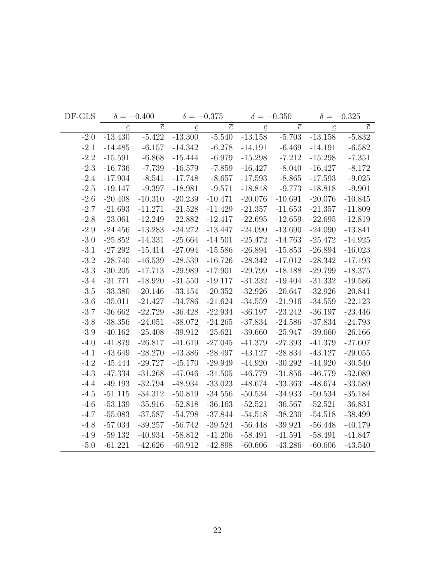| DF-GLS |                 | $\delta = -0.400$ |                 | $\delta = -0.375$ |                 | $\delta = -0.350$ | $\delta = -0.325$ |                |
|--------|-----------------|-------------------|-----------------|-------------------|-----------------|-------------------|-------------------|----------------|
|        | $\underline{c}$ | $\overline{c}$    | $\underline{c}$ | $\overline{c}$    | $\underline{c}$ | $\overline{c}$    | $\underline{c}$   | $\overline{c}$ |
| $-2.0$ | $-13.430$       | $-5.422$          | $-13.300$       | $-5.540$          | $-13.158$       | $-5.703$          | $-13.158$         | $-5.832$       |
| $-2.1$ | $-14.485$       | $-6.157$          | $-14.342$       | $-6.278$          | $-14.191$       | $-6.469$          | $-14.191$         | $-6.582$       |
| $-2.2$ | $-15.591$       | $-6.868$          | $-15.444$       | $-6.979$          | $-15.298$       | $-7.212$          | $-15.298$         | $-7.351$       |
| $-2.3$ | $-16.736$       | $-7.739$          | $-16.579$       | $-7.859$          | $-16.427$       | $-8.040$          | $-16.427$         | $-8.172$       |
| $-2.4$ | $-17.904$       | $-8.541$          | $-17.748$       | $-8.657$          | $-17.593$       | $-8.865$          | $-17.593$         | $-9.025$       |
| $-2.5$ | $-19.147$       | $-9.397$          | $-18.981$       | $-9.571$          | $-18.818$       | $-9.773$          | $-18.818$         | $-9.901$       |
| $-2.6$ | $-20.408$       | $-10.310$         | $-20.239$       | $-10.471$         | $-20.076$       | $-10.691$         | $-20.076$         | $-10.845$      |
| $-2.7$ | $-21.693$       | $-11.271$         | $-21.528$       | $-11.429$         | $-21.357$       | $-11.653$         | $-21.357$         | $-11.809$      |
| $-2.8$ | $-23.061$       | $-12.249$         | $-22.882$       | $-12.417$         | $-22.695$       | $-12.659$         | $-22.695$         | $-12.819$      |
| $-2.9$ | $-24.456$       | $-13.283$         | $-24.272$       | $-13.447$         | $-24.090$       | $-13.690$         | $-24.090$         | $-13.841$      |
| $-3.0$ | $-25.852$       | $-14.331$         | $-25.664$       | $-14.501$         | $-25.472$       | $-14.763$         | $-25.472$         | $-14.925$      |
| $-3.1$ | $-27.292$       | $-15.414$         | $-27.094$       | $-15.586$         | $-26.894$       | $-15.853$         | $-26.894$         | $-16.023$      |
| $-3.2$ | $-28.740$       | $-16.539$         | $-28.539$       | $-16.726$         | $-28.342$       | $-17.012$         | $-28.342$         | $-17.193$      |
| $-3.3$ | $-30.205$       | $-17.713$         | $-29.989$       | $-17.901$         | $-29.799$       | $-18.188$         | $-29.799$         | $-18.375$      |
| $-3.4$ | $-31.771$       | $-18.920$         | $-31.550$       | $-19.117$         | $-31.332$       | $-19.404$         | $-31.332$         | $-19.586$      |
| $-3.5$ | $-33.380$       | $-20.146$         | $-33.154$       | $-20.352$         | $-32.926$       | $-20.647$         | $-32.926$         | $-20.841$      |
| $-3.6$ | $-35.011$       | $-21.427$         | $-34.786$       | $-21.624$         | $-34.559$       | $-21.916$         | $-34.559$         | $-22.123$      |
| $-3.7$ | $-36.662$       | $-22.729$         | $-36.428$       | $-22.934$         | $-36.197$       | $-23.242$         | $-36.197$         | $-23.446$      |
| $-3.8$ | $-38.356$       | $-24.051$         | $-38.072$       | $-24.265$         | $-37.834$       | $-24.586$         | $-37.834$         | $-24.793$      |
| $-3.9$ | $-40.162$       | $-25.408$         | $-39.912$       | $-25.621$         | $-39.660$       | $-25.947$         | $-39.660$         | $-26.166$      |
| $-4.0$ | $-41.879$       | $-26.817$         | $-41.619$       | $-27.045$         | $-41.379$       | $-27.393$         | $-41.379$         | $-27.607$      |
| $-4.1$ | $-43.649$       | $-28.270$         | $-43.386$       | $-28.497$         | $-43.127$       | $-28.834$         | $-43.127$         | $-29.055$      |
| $-4.2$ | $-45.444$       | $-29.727$         | $-45.170$       | $-29.949$         | $-44.920$       | $-30.292$         | $-44.920$         | $-30.540$      |
| $-4.3$ | $-47.334$       | $-31.268$         | $-47.046$       | $-31.505$         | $-46.779$       | $-31.856$         | $-46.779$         | $-32.089$      |
| $-4.4$ | $-49.193$       | $-32.794$         | $-48.934$       | $-33.023$         | $-48.674$       | $-33.363$         | $-48.674$         | $-33.589$      |
| $-4.5$ | $-51.115$       | $-34.312$         | $-50.819$       | $-34.556$         | $-50.534$       | $-34.933$         | $-50.534$         | $-35.184$      |
| $-4.6$ | $-53.139$       | $-35.916$         | $-52.818$       | $-36.163$         | $-52.521$       | $-36.567$         | $-52.521$         | $-36.831$      |
| $-4.7$ | $-55.083$       | $-37.587$         | $-54.798$       | $-37.844$         | $-54.518$       | $-38.230$         | $-54.518$         | $-38.499$      |
| $-4.8$ | $-57.034$       | $-39.257$         | $-56.742$       | $-39.524$         | $-56.448$       | $-39.921$         | $-56.448$         | $-40.179$      |
| $-4.9$ | $-59.132$       | $-40.934$         | $-58.812$       | $-41.206$         | $-58.491$       | $-41.591$         | $-58.491$         | $-41.847$      |
| $-5.0$ | $-61.221$       | $-42.626$         | $-60.912$       | $-42.898$         | $-60.606$       | $-43.286$         | $-60.606$         | $-43.540$      |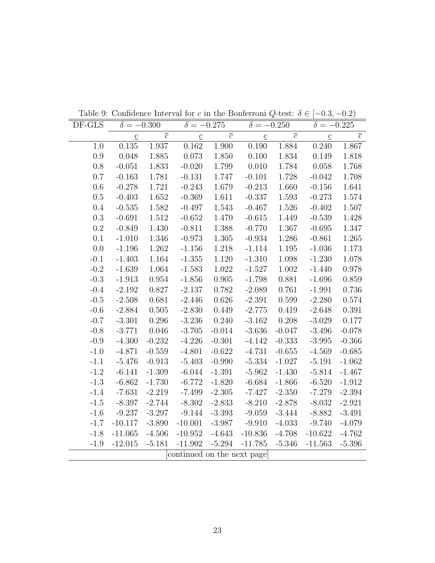| DF-GLS    | $\delta = -0.300$ |                | $\delta = -0.275$          |                | $\delta = -0.250$ |                | $\delta = -0.225$ |                |
|-----------|-------------------|----------------|----------------------------|----------------|-------------------|----------------|-------------------|----------------|
|           | $\underline{c}$   | $\overline{c}$ | $\underline{c}$            | $\overline{c}$ | $\underline{c}$   | $\overline{c}$ | $\underline{c}$   | $\overline{c}$ |
| 1.0       | 0.135             | 1.937          | 0.162                      | 1.900          | 0.190             | 1.884          | 0.240             | 1.867          |
| 0.9       | 0.048             | 1.885          | $0.073\,$                  | 1.850          | 0.100             | 1.834          | 0.149             | 1.818          |
| 0.8       | $-0.051$          | 1.833          | $-0.020$                   | 1.799          | 0.010             | 1.784          | $0.058\,$         | 1.768          |
| 0.7       | $-0.163$          | 1.781          | $-0.131$                   | 1.747          | $-0.101$          | 1.728          | $-0.042$          | 1.708          |
| 0.6       | $-0.278$          | 1.721          | $-0.243$                   | 1.679          | $-0.213$          | 1.660          | $-0.156$          | 1.641          |
| $0.5\,$   | $-0.403$          | 1.652          | $-0.369$                   | 1.611          | $-0.337$          | 1.593          | $-0.273$          | 1.574          |
| 0.4       | $-0.535$          | 1.582          | $-0.497$                   | 1.543          | $-0.467$          | 1.526          | $-0.402$          | 1.507          |
| $\rm 0.3$ | $-0.691$          | 1.512          | $-0.652$                   | 1.470          | $-0.615$          | 1.449          | $-0.539$          | 1.428          |
| 0.2       | $-0.849$          | 1.430          | $-0.811$                   | 1.388          | $-0.770$          | 1.367          | $-0.695$          | 1.347          |
| $0.1\,$   | $-1.010$          | 1.346          | $-0.973$                   | 1.305          | $-0.934$          | 1.286          | $-0.861$          | 1.265          |
| 0.0       | $-1.196$          | 1.262          | $-1.156$                   | 1.218          | $-1.114$          | $1.195\,$      | $-1.036$          | 1.173          |
| $-0.1$    | $-1.403$          | 1.164          | $-1.355$                   | 1.120          | $-1.310$          | 1.098          | $-1.230$          | 1.078          |
| $-0.2$    | $-1.639$          | 1.064          | $-1.583$                   | 1.022          | $-1.527$          | 1.002          | $-1.440$          | 0.978          |
| $-0.3$    | $-1.913$          | 0.954          | $-1.856$                   | 0.905          | $-1.798$          | 0.881          | $-1.696$          | 0.859          |
| $-0.4$    | $-2.192$          | 0.827          | $-2.137$                   | 0.782          | $-2.089$          | 0.761          | $-1.991$          | 0.736          |
| $-0.5$    | $-2.508$          | 0.681          | $-2.446$                   | 0.626          | $-2.391$          | 0.599          | $-2.280$          | 0.574          |
| $-0.6$    | $-2.884$          | 0.505          | $-2.830$                   | 0.449          | $-2.775$          | 0.419          | $-2.648$          | 0.391          |
| $-0.7$    | $-3.301$          | 0.296          | $-3.236$                   | 0.240          | $-3.162$          | 0.208          | $-3.029$          | 0.177          |
| $-0.8$    | $-3.771$          | 0.046          | $-3.705$                   | $-0.014$       | $-3.636$          | $-0.047$       | $-3.496$          | $-0.078$       |
| $-0.9$    | $-4.300$          | $-0.232$       | $-4.226$                   | $-0.301$       | $-4.142$          | $-0.333$       | $-3.995$          | $-0.366$       |
| $-1.0$    | $-4.871$          | $-0.559$       | $-4.801$                   | $-0.622$       | $-4.731$          | $-0.655$       | $-4.569$          | $-0.685$       |
| $-1.1$    | $-5.476$          | $-0.913$       | $-5.403$                   | $-0.990$       | $-5.334$          | $-1.027$       | $-5.191$          | $-1.062$       |
| $-1.2$    | $-6.141$          | $-1.309$       | $-6.044$                   | $-1.391$       | $-5.962$          | $-1.430$       | $-5.814$          | $-1.467$       |
| $-1.3$    | $-6.862$          | $-1.730$       | $-6.772$                   | $-1.820$       | $-6.684$          | $-1.866$       | $-6.520$          | $-1.912$       |
| $-1.4$    | $-7.631$          | $-2.219$       | $-7.499$                   | $-2.305$       | $-7.427$          | $-2.350$       | $-7.279$          | $-2.394$       |
| $-1.5$    | $-8.397$          | $-2.744$       | $-8.302$                   | $-2.833$       | $-8.210$          | $-2.878$       | $-8.032$          | $-2.921$       |
| $-1.6$    | $-9.237$          | $-3.297$       | $-9.144$                   | $-3.393$       | $-9.059$          | $-3.444$       | $-8.882$          | $-3.491$       |
| $-1.7$    | $-10.117$         | $-3.890$       | $-10.001$                  | $-3.987$       | $-9.910$          | $-4.033$       | $-9.740$          | $-4.079$       |
| $-1.8$    | $-11.065$         | $-4.506$       | $-10.952$                  | $-4.643$       | $-10.836$         | $-4.708$       | $-10.622$         | $-4.762$       |
| $-1.9$    | $-12.015$         | $-5.181$       | $-11.902$                  | $-5.294$       | $-11.785$         | $-5.346$       | $-11.563$         | $-5.396$       |
|           |                   |                | continued on the next page |                |                   |                |                   |                |

Table 9: Confidence Interval for c in the Bonferroni Q-test:  $\delta \in [-0.3, -0.2)$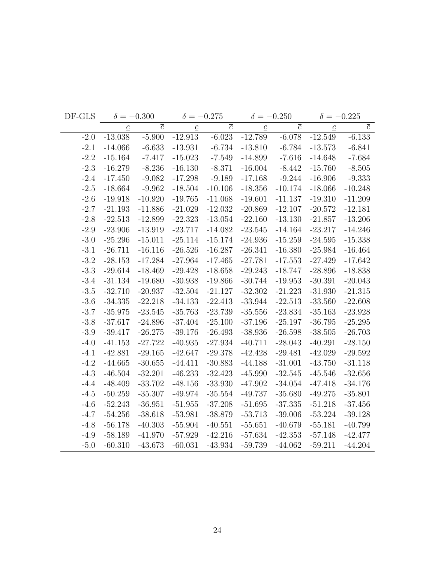| DF-GLS |                 | $\delta = -0.300$ |                 | $\delta = -0.275$ |                 | $\delta = -0.250$ | $\delta = -0.225$ |                |
|--------|-----------------|-------------------|-----------------|-------------------|-----------------|-------------------|-------------------|----------------|
|        | $\underline{c}$ | $\overline{c}$    | $\underline{c}$ | $\overline{c}$    | $\underline{c}$ | $\overline{c}$    | $\underline{c}$   | $\overline{c}$ |
| $-2.0$ | $-13.038$       | $-5.900$          | $-12.913$       | $-6.023$          | $-12.789$       | $-6.078$          | $-12.549$         | $-6.133$       |
| $-2.1$ | $-14.066$       | $-6.633$          | $-13.931$       | $-6.734$          | $-13.810$       | $-6.784$          | $-13.573$         | $-6.841$       |
| $-2.2$ | $-15.164$       | $-7.417$          | $-15.023$       | $-7.549$          | $-14.899$       | $-7.616$          | $-14.648$         | $-7.684$       |
| $-2.3$ | $-16.279$       | $-8.236$          | $-16.130$       | $-8.371$          | $-16.004$       | $-8.442$          | $-15.760$         | $-8.505$       |
| $-2.4$ | $-17.450$       | $-9.082$          | $-17.298$       | $-9.189$          | $-17.168$       | $-9.244$          | $-16.906$         | $-9.333$       |
| $-2.5$ | $-18.664$       | $-9.962$          | $-18.504$       | $-10.106$         | $-18.356$       | $-10.174$         | $-18.066$         | $-10.248$      |
| $-2.6$ | $-19.918$       | $-10.920$         | $-19.765$       | $-11.068$         | $-19.601$       | $-11.137$         | $-19.310$         | $-11.209$      |
| $-2.7$ | $-21.193$       | $-11.886$         | $-21.029$       | $-12.032$         | $-20.869$       | $-12.107$         | $-20.572$         | $-12.181$      |
| $-2.8$ | $-22.513$       | $-12.899$         | $-22.323$       | $-13.054$         | $-22.160$       | $-13.130$         | $-21.857$         | $-13.206$      |
| $-2.9$ | $-23.906$       | $-13.919$         | $-23.717$       | $-14.082$         | $-23.545$       | $-14.164$         | $-23.217$         | $-14.246$      |
| $-3.0$ | $-25.296$       | $-15.011$         | $-25.114$       | $-15.174$         | $-24.936$       | $-15.259$         | $-24.595$         | $-15.338$      |
| $-3.1$ | $-26.711$       | $-16.116$         | $-26.526$       | $-16.287$         | $-26.341$       | $-16.380$         | $-25.984$         | $-16.464$      |
| $-3.2$ | $-28.153$       | $-17.284$         | $-27.964$       | $-17.465$         | $-27.781$       | $-17.553$         | $-27.429$         | $-17.642$      |
| $-3.3$ | $-29.614$       | $-18.469$         | $-29.428$       | $-18.658$         | $-29.243$       | $-18.747$         | $-28.896$         | $-18.838$      |
| $-3.4$ | $-31.134$       | $-19.680$         | $-30.938$       | $-19.866$         | $-30.744$       | $-19.953$         | $-30.391$         | $-20.043$      |
| $-3.5$ | $-32.710$       | $-20.937$         | $-32.504$       | $-21.127$         | $-32.302$       | $-21.223$         | $-31.930$         | $-21.315$      |
| $-3.6$ | $-34.335$       | $-22.218$         | $-34.133$       | $-22.413$         | $-33.944$       | $-22.513$         | $-33.560$         | $-22.608$      |
| $-3.7$ | $-35.975$       | $-23.545$         | $-35.763$       | $-23.739$         | $-35.556$       | $-23.834$         | $-35.163$         | $-23.928$      |
| $-3.8$ | $-37.617$       | $-24.896$         | $-37.404$       | $-25.100$         | $-37.196$       | $-25.197$         | $-36.795$         | $-25.295$      |
| $-3.9$ | $-39.417$       | $-26.275$         | $-39.176$       | $-26.493$         | $-38.936$       | $-26.598$         | $-38.505$         | $-26.703$      |
| $-4.0$ | $-41.153$       | $-27.722$         | $-40.935$       | $-27.934$         | $-40.711$       | $-28.043$         | $-40.291$         | $-28.150$      |
| $-4.1$ | $-42.881$       | $-29.165$         | $-42.647$       | $-29.378$         | $-42.428$       | $-29.481$         | $-42.029$         | $-29.592$      |
| $-4.2$ | $-44.665$       | $-30.655$         | $-44.411$       | $-30.883$         | $-44.188$       | $-31.001$         | $-43.750$         | $-31.118$      |
| $-4.3$ | $-46.504$       | $-32.201$         | $-46.233$       | $-32.423$         | $-45.990$       | $-32.545$         | $-45.546$         | $-32.656$      |
| $-4.4$ | $-48.409$       | $-33.702$         | $-48.156$       | $-33.930$         | $-47.902$       | $-34.054$         | $-47.418$         | $-34.176$      |
| $-4.5$ | $-50.259$       | $-35.307$         | $-49.974$       | $-35.554$         | $-49.737$       | $-35.680$         | $-49.275$         | $-35.801$      |
| $-4.6$ | $-52.243$       | $-36.951$         | $-51.955$       | $-37.208$         | $-51.695$       | $-37.335$         | $-51.218$         | $-37.456$      |
| $-4.7$ | $-54.256$       | $-38.618$         | $-53.981$       | $-38.879$         | $-53.713$       | $-39.006$         | $-53.224$         | $-39.128$      |
| $-4.8$ | $-56.178$       | $-40.303$         | $-55.904$       | $-40.551$         | $-55.651$       | $-40.679$         | $-55.181$         | $-40.799$      |
| $-4.9$ | $-58.189$       | $-41.970$         | $-57.929$       | $-42.216$         | $-57.634$       | $-42.353$         | $-57.148$         | $-42.477$      |
| $-5.0$ | $-60.310$       | $-43.673$         | $-60.031$       | $-43.934$         | $-59.739$       | $-44.062$         | $-59.211$         | $-44.204$      |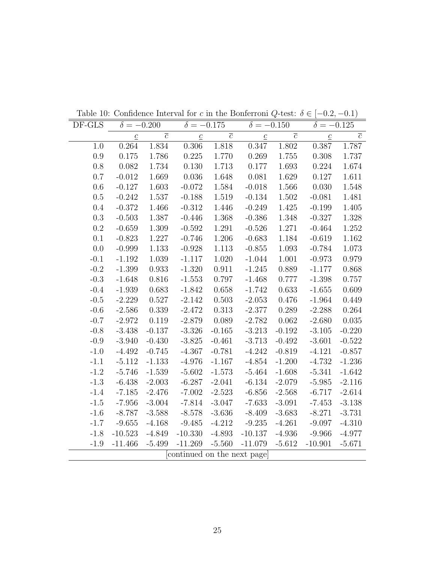| DF-GLS    | $\delta = -0.200$ |                | $\delta = -0.175$          |                | $\delta = -0.150$ |                | $\delta = -0.125$ |                |
|-----------|-------------------|----------------|----------------------------|----------------|-------------------|----------------|-------------------|----------------|
|           | $\underline{c}$   | $\overline{c}$ | $\underline{c}$            | $\overline{c}$ | $\underline{c}$   | $\overline{c}$ | $\underline{c}$   | $\overline{c}$ |
| 1.0       | 0.264             | 1.834          | 0.306                      | 1.818          | 0.347             | 1.802          | 0.387             | 1.787          |
| 0.9       | 0.175             | $1.786\,$      | 0.225                      | 1.770          | 0.269             | 1.755          | 0.308             | 1.737          |
| 0.8       | 0.082             | 1.734          | 0.130                      | 1.713          | 0.177             | 1.693          | 0.224             | 1.674          |
| 0.7       | $-0.012$          | 1.669          | 0.036                      | 1.648          | 0.081             | 1.629          | 0.127             | 1.611          |
| 0.6       | $-0.127$          | 1.603          | $-0.072$                   | 1.584          | $-0.018$          | 1.566          | 0.030             | 1.548          |
| $0.5\,$   | $-0.242$          | 1.537          | $-0.188$                   | 1.519          | $-0.134$          | 1.502          | $-0.081$          | 1.481          |
| 0.4       | $-0.372$          | 1.466          | $-0.312$                   | 1.446          | $-0.249$          | 1.425          | $-0.199$          | 1.405          |
| $\rm 0.3$ | $-0.503$          | 1.387          | $-0.446$                   | 1.368          | $-0.386$          | $1.348\,$      | $-0.327$          | 1.328          |
| $0.2\,$   | $-0.659$          | $1.309\,$      | $-0.592$                   | 1.291          | $-0.526$          | 1.271          | $-0.464$          | 1.252          |
| 0.1       | $-0.823$          | 1.227          | $-0.746$                   | 1.206          | $-0.683$          | 1.184          | $-0.619$          | 1.162          |
| 0.0       | $-0.999$          | $1.133\,$      | $-0.928$                   | 1.113          | $-0.855$          | 1.093          | $-0.784$          | 1.073          |
| $-0.1$    | $-1.192$          | 1.039          | $-1.117$                   | 1.020          | $-1.044$          | 1.001          | $-0.973$          | 0.979          |
| $-0.2$    | $-1.399$          | 0.933          | $-1.320$                   | 0.911          | $-1.245$          | 0.889          | $-1.177$          | 0.868          |
| $-0.3$    | $-1.648$          | $0.816\,$      | $-1.553$                   | 0.797          | $-1.468$          | 0.777          | $-1.398$          | 0.757          |
| $-0.4$    | $-1.939$          | 0.683          | $-1.842$                   | 0.658          | $-1.742$          | 0.633          | $-1.655$          | 0.609          |
| $-0.5$    | $-2.229$          | $0.527\,$      | $-2.142$                   | $0.503\,$      | $-2.053$          | 0.476          | $-1.964$          | 0.449          |
| $-0.6$    | $-2.586$          | 0.339          | $-2.472$                   | 0.313          | $-2.377$          | 0.289          | $-2.288$          | 0.264          |
| $-0.7$    | $-2.972$          | 0.119          | $-2.879$                   | 0.089          | $-2.782$          | 0.062          | $-2.680$          | 0.035          |
| $-0.8$    | $-3.438$          | $-0.137$       | $-3.326$                   | $-0.165$       | $-3.213$          | $-0.192$       | $-3.105$          | $-0.220$       |
| $-0.9$    | $-3.940$          | $-0.430$       | $-3.825$                   | $-0.461$       | $-3.713$          | $-0.492$       | $-3.601$          | $-0.522$       |
| $-1.0$    | $-4.492$          | $-0.745$       | $-4.367$                   | $-0.781$       | $-4.242$          | $-0.819$       | $-4.121$          | $-0.857$       |
| $-1.1$    | $-5.112$          | $-1.133$       | $-4.976$                   | $-1.167$       | $-4.854$          | $-1.200$       | $-4.732$          | $-1.236$       |
| $-1.2$    | $-5.746$          | $-1.539$       | $-5.602$                   | $-1.573$       | $-5.464$          | $-1.608$       | $-5.341$          | $-1.642$       |
| $-1.3$    | $-6.438$          | $-2.003$       | $-6.287$                   | $-2.041$       | $-6.134$          | $-2.079$       | $-5.985$          | $-2.116$       |
| $-1.4$    | $-7.185$          | $-2.476$       | $-7.002$                   | $-2.523$       | $-6.856$          | $-2.568$       | $-6.717$          | $-2.614$       |
| $-1.5$    | $-7.956$          | $-3.004$       | $-7.814$                   | $-3.047$       | $-7.633$          | $-3.091$       | $-7.453$          | $-3.138$       |
| $-1.6$    | $-8.787$          | $-3.588$       | $-8.578$                   | $-3.636$       | $-8.409$          | $-3.683$       | $-8.271$          | $-3.731$       |
| $-1.7$    | $-9.655$          | $-4.168$       | $-9.485$                   | $-4.212$       | $-9.235$          | $-4.261$       | $-9.097$          | $-4.310$       |
| $-1.8$    | $-10.523$         | $-4.849$       | $-10.330$                  | $-4.893$       | $-10.137$         | $-4.936$       | $-9.966$          | $-4.977$       |
| $-1.9$    | $-11.466$         | $-5.499$       | $-11.269$                  | $-5.560$       | $-11.079$         | $-5.612$       | $-10.901$         | $-5.671$       |
|           |                   |                | continued on the next page |                |                   |                |                   |                |

Table 10: Confidence Interval for c in the Bonferroni Q-test:  $\delta \in [-0.2, -0.1)$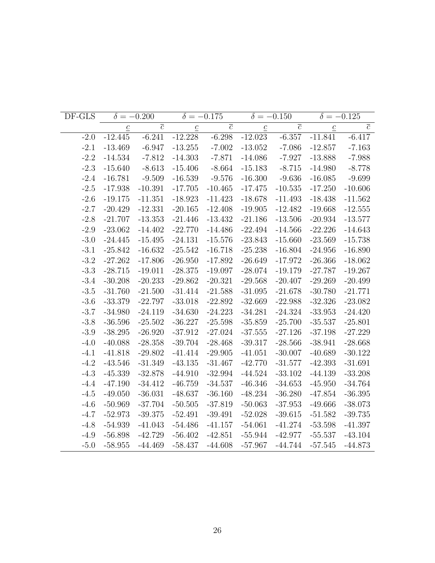| DF-GLS |                 | $\delta = -0.200$ |                 | $\delta = -0.175$ |                 | $\delta = -0.150$ | $\delta = -0.125$ |                |
|--------|-----------------|-------------------|-----------------|-------------------|-----------------|-------------------|-------------------|----------------|
|        | $\underline{c}$ | $\overline{c}$    | $\underline{c}$ | $\overline{c}$    | $\underline{c}$ | $\overline{c}$    | $\underline{c}$   | $\overline{c}$ |
| $-2.0$ | $-12.445$       | $-6.241$          | $-12.228$       | $-6.298$          | $-12.023$       | $-6.357$          | $-11.841$         | $-6.417$       |
| $-2.1$ | $-13.469$       | $-6.947$          | $-13.255$       | $-7.002$          | $-13.052$       | $-7.086$          | $-12.857$         | $-7.163$       |
| $-2.2$ | $-14.534$       | $-7.812$          | $-14.303$       | $-7.871$          | $-14.086$       | $-7.927$          | $-13.888$         | $-7.988$       |
| $-2.3$ | $-15.640$       | $-8.613$          | $-15.406$       | $-8.664$          | $-15.183$       | $-8.715$          | $-14.980$         | $-8.778$       |
| $-2.4$ | $-16.781$       | $-9.509$          | $-16.539$       | $-9.576$          | $-16.300$       | $-9.636$          | $-16.085$         | $-9.699$       |
| $-2.5$ | $-17.938$       | $-10.391$         | $-17.705$       | $-10.465$         | $-17.475$       | $-10.535$         | $-17.250$         | $-10.606$      |
| $-2.6$ | $-19.175$       | $-11.351$         | $-18.923$       | $-11.423$         | $-18.678$       | $-11.493$         | $-18.438$         | $-11.562$      |
| $-2.7$ | $-20.429$       | $-12.331$         | $-20.165$       | $-12.408$         | $-19.905$       | $-12.482$         | $-19.668$         | $-12.555$      |
| $-2.8$ | $-21.707$       | $-13.353$         | $-21.446$       | $-13.432$         | $-21.186$       | $-13.506$         | $-20.934$         | $-13.577$      |
| $-2.9$ | $-23.062$       | $-14.402$         | $-22.770$       | $-14.486$         | $-22.494$       | $-14.566$         | $-22.226$         | $-14.643$      |
| $-3.0$ | $-24.445$       | $-15.495$         | $-24.131$       | $-15.576$         | $-23.843$       | $-15.660$         | $-23.569$         | $-15.738$      |
| $-3.1$ | $-25.842$       | $-16.632$         | $-25.542$       | $-16.718$         | $-25.238$       | $-16.804$         | $-24.956$         | $-16.890$      |
| $-3.2$ | $-27.262$       | $-17.806$         | $-26.950$       | $-17.892$         | $-26.649$       | $-17.972$         | $-26.366$         | $-18.062$      |
| $-3.3$ | $-28.715$       | $-19.011$         | $-28.375$       | $-19.097$         | $-28.074$       | $-19.179$         | $-27.787$         | $-19.267$      |
| $-3.4$ | $-30.208$       | $-20.233$         | $-29.862$       | $-20.321$         | $-29.568$       | $-20.407$         | $-29.269$         | $-20.499$      |
| $-3.5$ | $-31.760$       | $-21.500$         | $-31.414$       | $-21.588$         | $-31.095$       | $-21.678$         | $-30.780$         | $-21.771$      |
| $-3.6$ | $-33.379$       | $-22.797$         | $-33.018$       | $-22.892$         | $-32.669$       | $-22.988$         | $-32.326$         | $-23.082$      |
| $-3.7$ | $-34.980$       | $-24.119$         | $-34.630$       | $-24.223$         | $-34.281$       | $-24.324$         | $-33.953$         | $-24.420$      |
| $-3.8$ | $-36.596$       | $-25.502$         | $-36.227$       | $-25.598$         | $-35.859$       | $-25.700$         | $-35.537$         | $-25.801$      |
| $-3.9$ | $-38.295$       | $-26.920$         | $-37.912$       | $-27.024$         | $-37.555$       | $-27.126$         | $-37.198$         | $-27.229$      |
| $-4.0$ | $-40.088$       | $-28.358$         | $-39.704$       | $-28.468$         | $-39.317$       | $-28.566$         | $-38.941$         | $-28.668$      |
| $-4.1$ | $-41.818$       | $-29.802$         | $-41.414$       | $-29.905$         | $-41.051$       | $-30.007$         | $-40.689$         | $-30.122$      |
| $-4.2$ | $-43.546$       | $-31.349$         | $-43.135$       | $-31.467$         | $-42.770$       | $-31.577$         | $-42.393$         | $-31.691$      |
| $-4.3$ | $-45.339$       | $-32.878$         | $-44.910$       | $-32.994$         | $-44.524$       | $-33.102$         | $-44.139$         | $-33.208$      |
| $-4.4$ | $-47.190$       | $-34.412$         | $-46.759$       | $-34.537$         | $-46.346$       | $-34.653$         | $-45.950$         | $-34.764$      |
| $-4.5$ | $-49.050$       | $-36.031$         | $-48.637$       | $-36.160$         | $-48.234$       | $-36.280$         | $-47.854$         | $-36.395$      |
| $-4.6$ | $-50.969$       | $-37.704$         | $-50.505$       | $-37.819$         | $-50.063$       | $-37.953$         | $-49.666$         | $-38.073$      |
| $-4.7$ | $-52.973$       | $-39.375$         | $-52.491$       | $-39.491$         | $-52.028$       | $-39.615$         | $-51.582$         | $-39.735$      |
| $-4.8$ | $-54.939$       | $-41.043$         | $-54.486$       | $-41.157$         | $-54.061$       | $-41.274$         | $-53.598$         | $-41.397$      |
| $-4.9$ | $-56.898$       | $-42.729$         | $-56.402$       | $-42.851$         | $-55.944$       | $-42.977$         | $-55.537$         | $-43.104$      |
| $-5.0$ | $-58.955$       | $-44.469$         | $-58.437$       | $-44.608$         | $-57.967$       | $-44.744$         | $-57.545$         | $-44.873$      |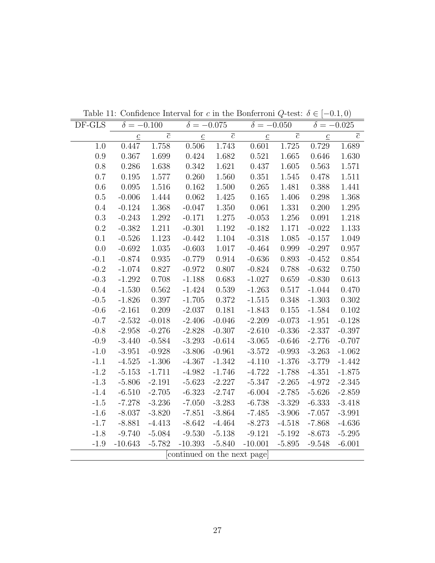| DF-GLS  |                 | $\delta = -0.100$ | $\delta = -0.075$          |                |                           | $\delta = -0.050$ | $\delta = -0.025$ |                |
|---------|-----------------|-------------------|----------------------------|----------------|---------------------------|-------------------|-------------------|----------------|
|         | $\underline{c}$ | $\overline{c}$    | $\underline{c}$            | $\overline{c}$ | $\underline{\mathcal{C}}$ | $\overline{c}$    | $\underline{c}$   | $\overline{c}$ |
| 1.0     | 0.447           | 1.758             | 0.506                      | 1.743          | 0.601                     | 1.725             | 0.729             | 1.689          |
| $0.9\,$ | 0.367           | 1.699             | 0.424                      | 1.682          | 0.521                     | 1.665             | 0.646             | 1.630          |
| 0.8     | 0.286           | 1.638             | 0.342                      | 1.621          | 0.437                     | 1.605             | 0.563             | 1.571          |
| 0.7     | 0.195           | 1.577             | 0.260                      | 1.560          | 0.351                     | 1.545             | 0.478             | 1.511          |
| 0.6     | 0.095           | 1.516             | 0.162                      | 1.500          | 0.265                     | 1.481             | 0.388             | 1.441          |
| $0.5\,$ | $-0.006$        | 1.444             | 0.062                      | 1.425          | 0.165                     | 1.406             | 0.298             | 1.368          |
| 0.4     | $-0.124$        | $1.368\,$         | $-0.047$                   | 1.350          | 0.061                     | 1.331             | 0.200             | $1.295\,$      |
| 0.3     | $-0.243$        | 1.292             | $-0.171$                   | 1.275          | $-0.053$                  | 1.256             | 0.091             | 1.218          |
| $0.2\,$ | $-0.382$        | 1.211             | $-0.301$                   | 1.192          | $-0.182$                  | 1.171             | $-0.022$          | 1.133          |
| 0.1     | $-0.526$        | 1.123             | $-0.442$                   | 1.104          | $-0.318$                  | 1.085             | $-0.157$          | 1.049          |
| 0.0     | $-0.692$        | 1.035             | $-0.603$                   | 1.017          | $-0.464$                  | 0.999             | $-0.297$          | 0.957          |
| $-0.1$  | $-0.874$        | 0.935             | $-0.779$                   | 0.914          | $-0.636$                  | 0.893             | $-0.452$          | 0.854          |
| $-0.2$  | $-1.074$        | 0.827             | $-0.972$                   | 0.807          | $-0.824$                  | 0.788             | $-0.632$          | 0.750          |
| $-0.3$  | $-1.292$        | 0.708             | $-1.188$                   | 0.683          | $-1.027$                  | 0.659             | $-0.830$          | 0.613          |
| $-0.4$  | $-1.530$        | 0.562             | $-1.424$                   | 0.539          | $-1.263$                  | 0.517             | $-1.044$          | 0.470          |
| $-0.5$  | $-1.826$        | 0.397             | $-1.705$                   | 0.372          | $-1.515$                  | 0.348             | $-1.303$          | 0.302          |
| $-0.6$  | $-2.161$        | 0.209             | $-2.037$                   | 0.181          | $-1.843$                  | 0.155             | $-1.584$          | 0.102          |
| $-0.7$  | $-2.532$        | $-0.018$          | $-2.406$                   | $-0.046$       | $-2.209$                  | $-0.073$          | $-1.951$          | $-0.128$       |
| $-0.8$  | $-2.958$        | $-0.276$          | $-2.828$                   | $-0.307$       | $-2.610$                  | $-0.336$          | $-2.337$          | $-0.397$       |
| $-0.9$  | $-3.440$        | $-0.584$          | $-3.293$                   | $-0.614$       | $-3.065$                  | $-0.646$          | $-2.776$          | $-0.707$       |
| $-1.0$  | $-3.951$        | $-0.928$          | $-3.806$                   | $-0.961$       | $-3.572$                  | $-0.993$          | $-3.263$          | $-1.062$       |
| $-1.1$  | $-4.525$        | $-1.306$          | $-4.367$                   | $-1.342$       | $-4.110$                  | $-1.376$          | $-3.779$          | $-1.442$       |
| $-1.2$  | $-5.153$        | $-1.711$          | $-4.982$                   | $-1.746$       | $-4.722$                  | $-1.788$          | $-4.351$          | $-1.875$       |
| $-1.3$  | $-5.806$        | $-2.191$          | $-5.623$                   | $-2.227$       | $-5.347$                  | $-2.265$          | $-4.972$          | $-2.345$       |
| $-1.4$  | $-6.510$        | $-2.705$          | $-6.323$                   | $-2.747$       | $-6.004$                  | $-2.785$          | $-5.626$          | $-2.859$       |
| $-1.5$  | $-7.278$        | $-3.236$          | $-7.050$                   | $-3.283$       | $-6.738$                  | $-3.329$          | $-6.333$          | $-3.418$       |
| $-1.6$  | $-8.037$        | $-3.820$          | $-7.851$                   | $-3.864$       | $-7.485$                  | $-3.906$          | $-7.057$          | $-3.991$       |
| $-1.7$  | $-8.881$        | $-4.413$          | $-8.642$                   | $-4.464$       | $-8.273$                  | $-4.518$          | $-7.868$          | $-4.636$       |
| $-1.8$  | $-9.740$        | $-5.084$          | $-9.530$                   | $-5.138$       | $-9.121$                  | $-5.192$          | $-8.673$          | $-5.295$       |
| $-1.9$  | $-10.643$       | $-5.782$          | $-10.393$                  | $-5.840$       | $-10.001$                 | $-5.895$          | $-9.548$          | $-6.001$       |
|         |                 |                   | continued on the next page |                |                           |                   |                   |                |

Table 11: Confidence Interval for c in the Bonferroni Q-test:  $\delta \in [-0.1, 0)$